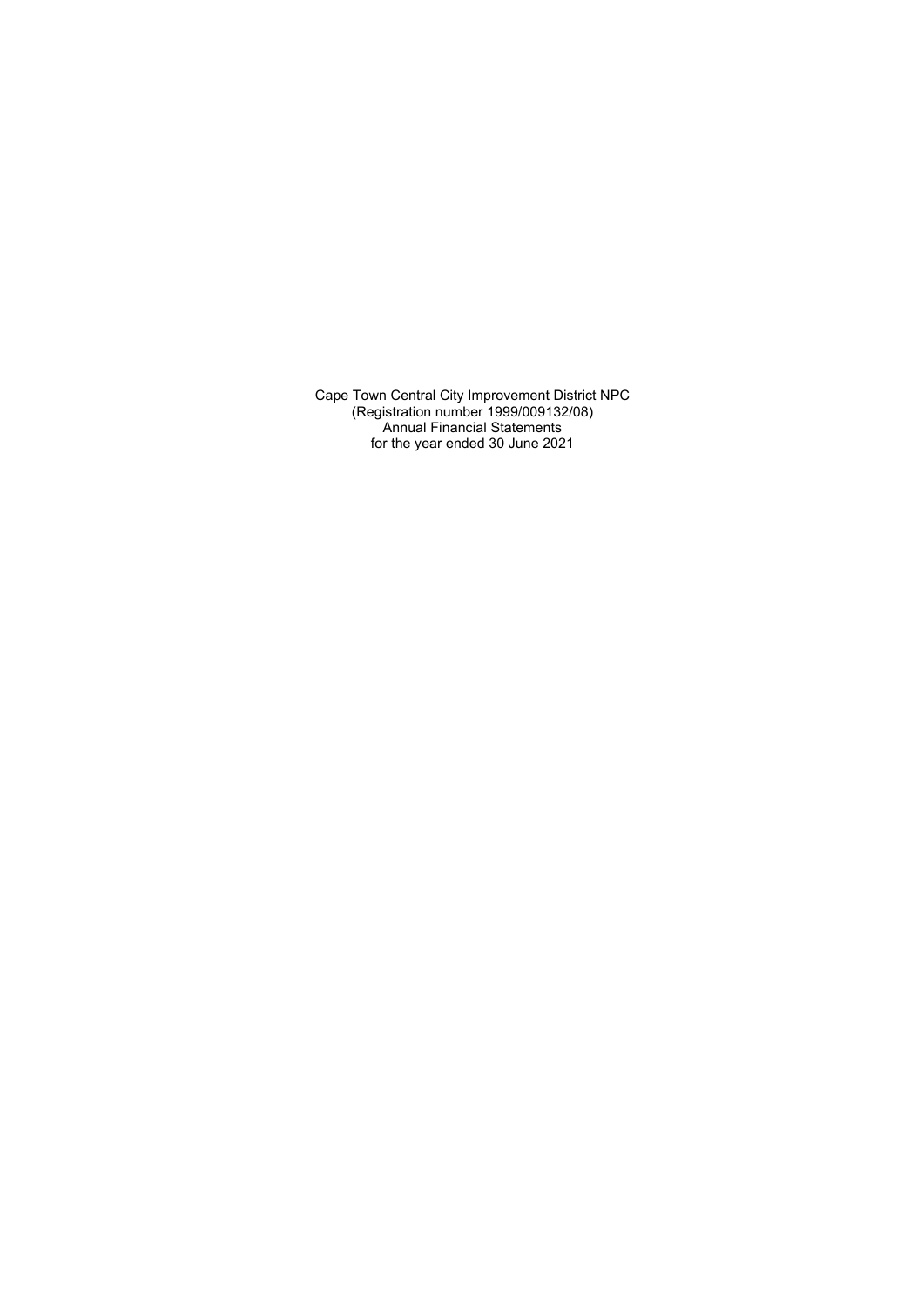Cape Town Central City Improvement District NPC (Registration number 1999/009132/08) Annual Financial Statements for the year ended 30 June 2021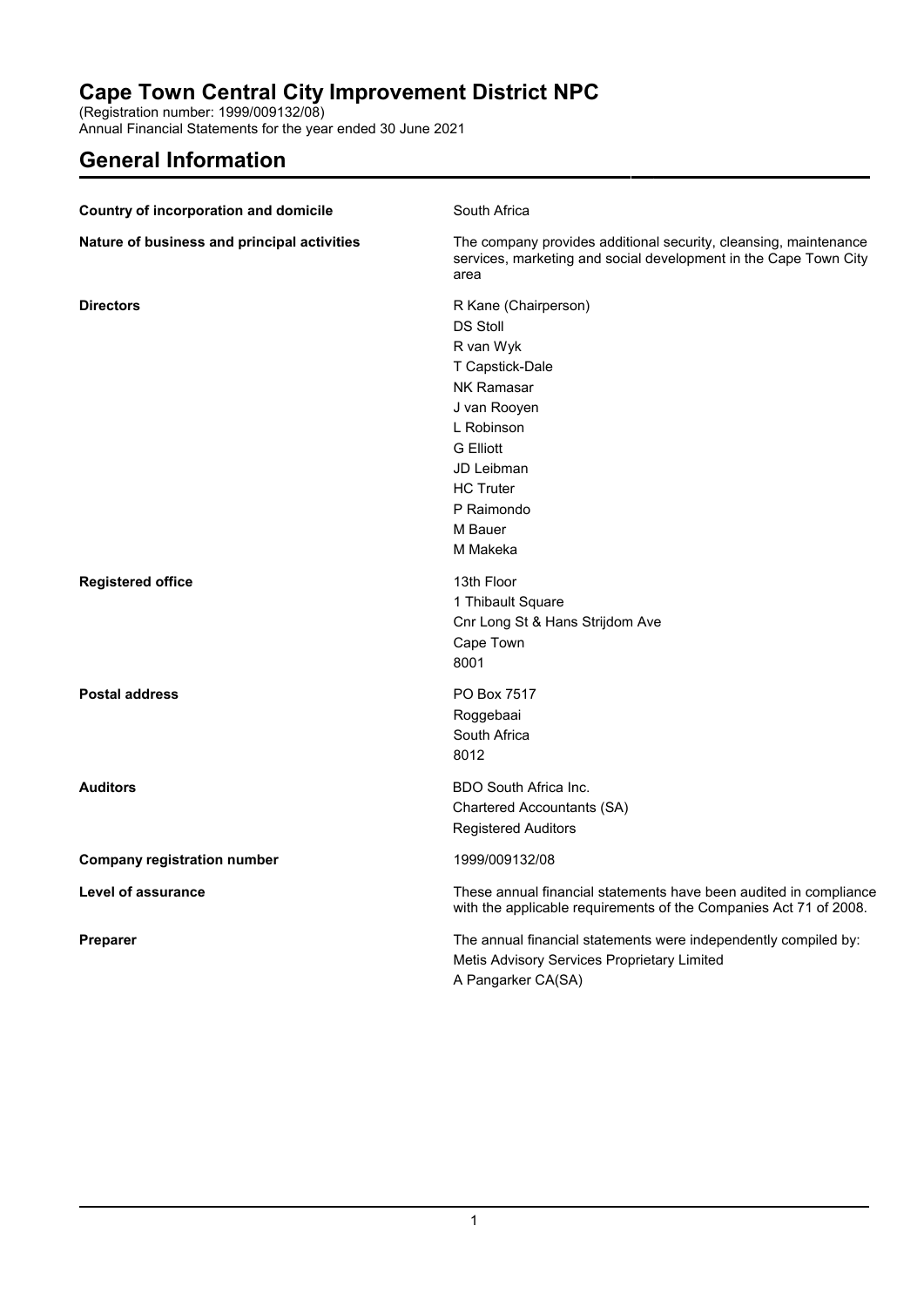(Registration number: 1999/009132/08)

Annual Financial Statements for the year ended 30 June 2021

# **General Information**

| <b>Country of incorporation and domicile</b> | South Africa                                                                                                                                                                                                          |
|----------------------------------------------|-----------------------------------------------------------------------------------------------------------------------------------------------------------------------------------------------------------------------|
| Nature of business and principal activities  | The company provides additional security, cleansing, maintenance<br>services, marketing and social development in the Cape Town City<br>area                                                                          |
| <b>Directors</b>                             | R Kane (Chairperson)<br><b>DS Stoll</b><br>R van Wyk<br>T Capstick-Dale<br><b>NK Ramasar</b><br>J van Rooyen<br>L Robinson<br><b>G</b> Elliott<br>JD Leibman<br><b>HC Truter</b><br>P Raimondo<br>M Bauer<br>M Makeka |
| <b>Registered office</b>                     | 13th Floor<br>1 Thibault Square<br>Cnr Long St & Hans Strijdom Ave<br>Cape Town<br>8001                                                                                                                               |
| <b>Postal address</b>                        | PO Box 7517<br>Roggebaai<br>South Africa<br>8012                                                                                                                                                                      |
| <b>Auditors</b>                              | BDO South Africa Inc.<br>Chartered Accountants (SA)<br><b>Registered Auditors</b>                                                                                                                                     |
| <b>Company registration number</b>           | 1999/009132/08                                                                                                                                                                                                        |
| Level of assurance                           | These annual financial statements have been audited in compliance<br>with the applicable requirements of the Companies Act 71 of 2008.                                                                                |
| <b>Preparer</b>                              | The annual financial statements were independently compiled by:<br>Metis Advisory Services Proprietary Limited<br>A Pangarker CA(SA)                                                                                  |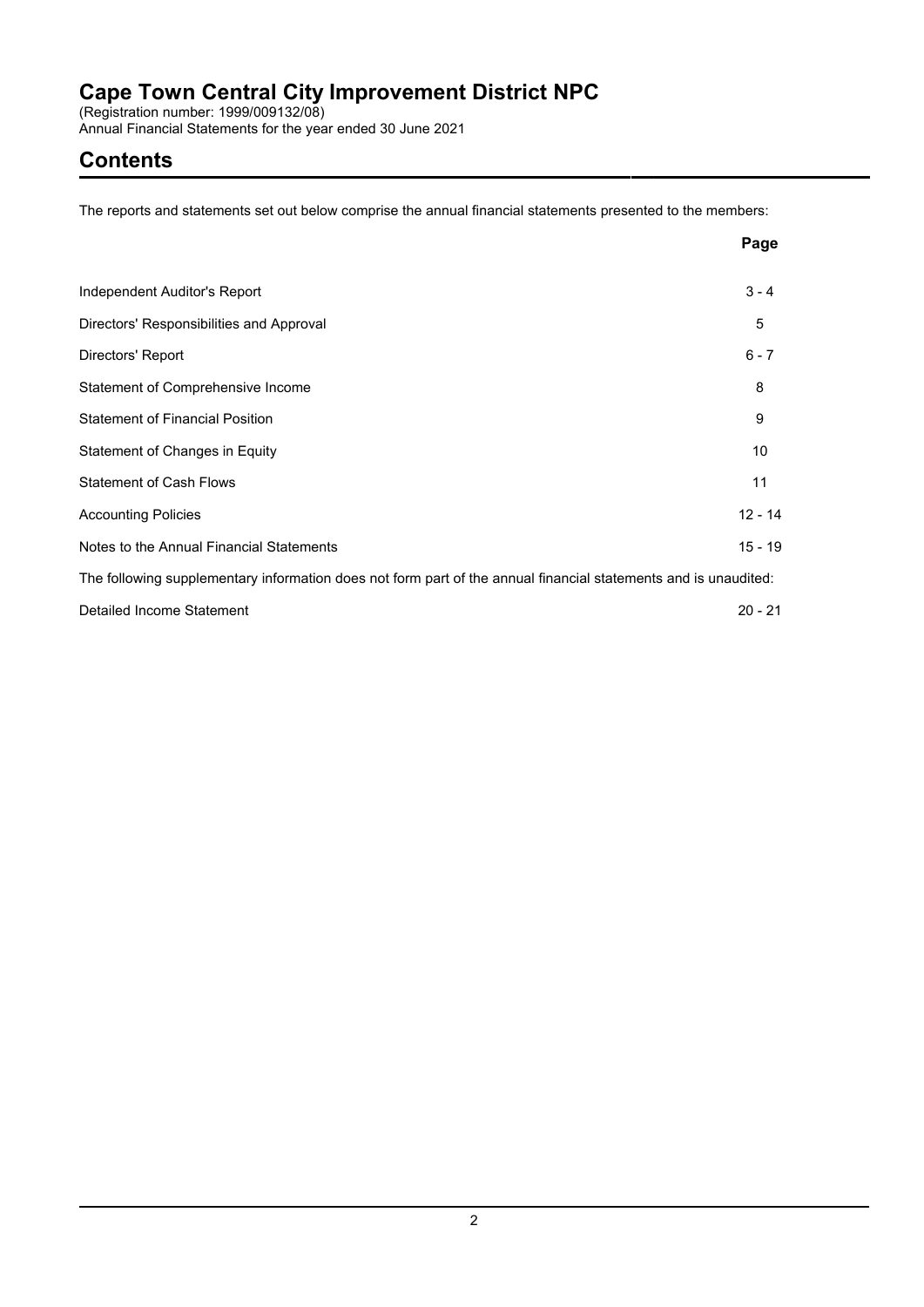(Registration number: 1999/009132/08)

Annual Financial Statements for the year ended 30 June 2021

# **Contents**

The reports and statements set out below comprise the annual financial statements presented to the members:

|                                                                                                                 | Page      |
|-----------------------------------------------------------------------------------------------------------------|-----------|
| Independent Auditor's Report                                                                                    | $3 - 4$   |
| Directors' Responsibilities and Approval                                                                        | 5         |
| Directors' Report                                                                                               | $6 - 7$   |
| Statement of Comprehensive Income                                                                               | 8         |
| <b>Statement of Financial Position</b>                                                                          | 9         |
| Statement of Changes in Equity                                                                                  | 10        |
| <b>Statement of Cash Flows</b>                                                                                  | 11        |
| <b>Accounting Policies</b>                                                                                      | $12 - 14$ |
| Notes to the Annual Financial Statements                                                                        | $15 - 19$ |
| The following supplementary information does not form part of the annual financial statements and is unaudited: |           |
| Detailed Income Statement                                                                                       | $20 - 21$ |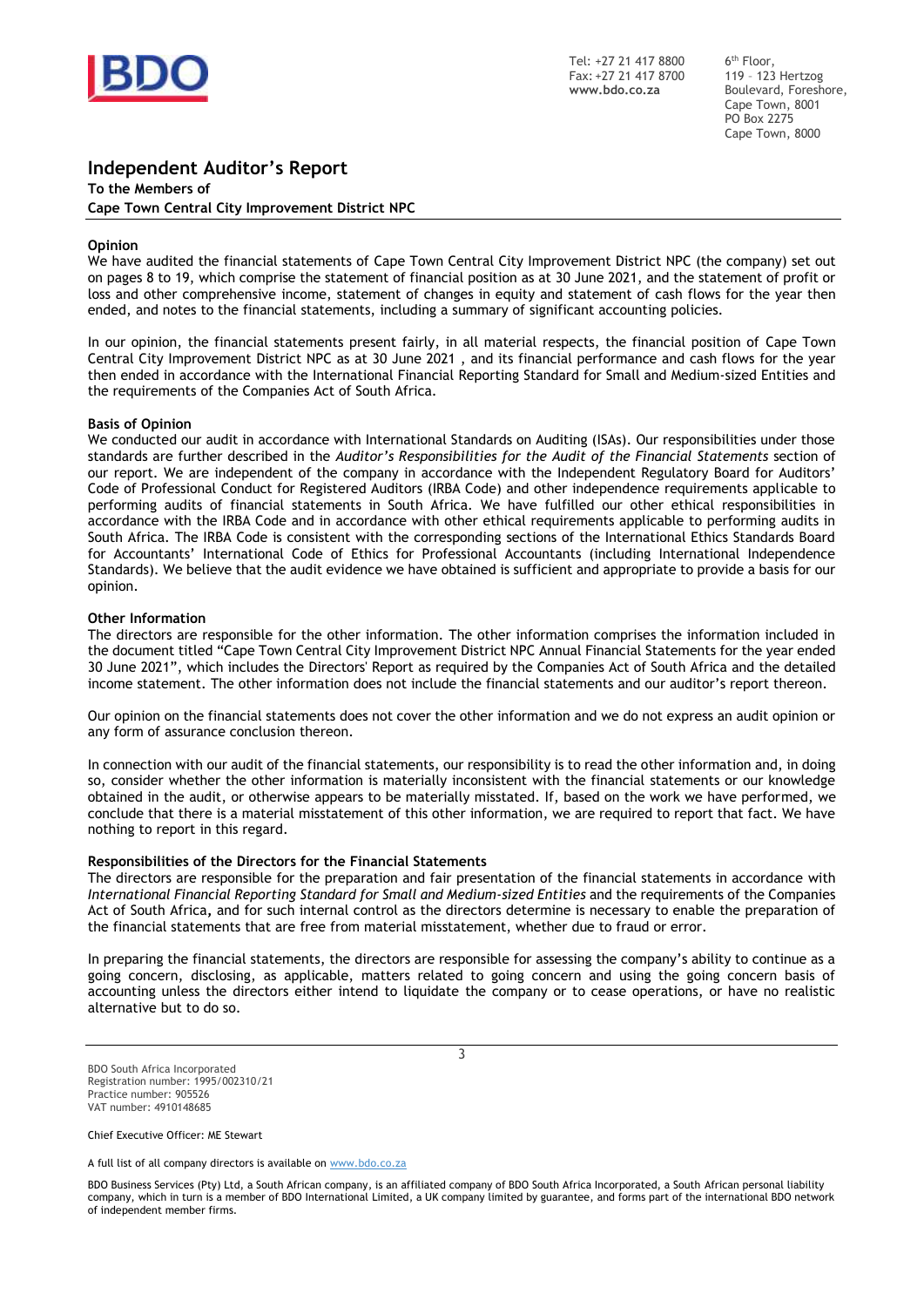

Tel: +27 21 417 8800 Fax: +27 21 417 8700 **www.bdo.co.za**

6 th Floor, 119 – 123 Hertzog Boulevard, Foreshore, Cape Town, 8001 PO Box 2275 Cape Town, 8000

## **Independent Auditor's Report**

**To the Members of Cape Town Central City Improvement District NPC**

#### **Opinion**

We have audited the financial statements of Cape Town Central City Improvement District NPC (the company) set out on pages 8 to 19, which comprise the statement of financial position as at 30 June 2021, and the statement of profit or loss and other comprehensive income, statement of changes in equity and statement of cash flows for the year then ended, and notes to the financial statements, including a summary of significant accounting policies.

In our opinion, the financial statements present fairly, in all material respects, the financial position of Cape Town Central City Improvement District NPC as at 30 June 2021 , and its financial performance and cash flows for the year then ended in accordance with the International Financial Reporting Standard for Small and Medium-sized Entities and the requirements of the Companies Act of South Africa.

#### **Basis of Opinion**

We conducted our audit in accordance with International Standards on Auditing (ISAs). Our responsibilities under those standards are further described in the *Auditor's Responsibilities for the Audit of the Financial Statements* section of our report. We are independent of the company in accordance with the Independent Regulatory Board for Auditors' Code of Professional Conduct for Registered Auditors (IRBA Code) and other independence requirements applicable to performing audits of financial statements in South Africa. We have fulfilled our other ethical responsibilities in accordance with the IRBA Code and in accordance with other ethical requirements applicable to performing audits in South Africa. The IRBA Code is consistent with the corresponding sections of the International Ethics Standards Board for Accountants' International Code of Ethics for Professional Accountants (including International Independence Standards). We believe that the audit evidence we have obtained is sufficient and appropriate to provide a basis for our opinion.

#### **Other Information**

The directors are responsible for the other information. The other information comprises the information included in the document titled "Cape Town Central City Improvement District NPC Annual Financial Statements for the year ended 30 June 2021", which includes the Directors' Report as required by the Companies Act of South Africa and the detailed income statement. The other information does not include the financial statements and our auditor's report thereon.

Our opinion on the financial statements does not cover the other information and we do not express an audit opinion or any form of assurance conclusion thereon.

In connection with our audit of the financial statements, our responsibility is to read the other information and, in doing so, consider whether the other information is materially inconsistent with the financial statements or our knowledge obtained in the audit, or otherwise appears to be materially misstated. If, based on the work we have performed, we conclude that there is a material misstatement of this other information, we are required to report that fact. We have nothing to report in this regard.

#### **Responsibilities of the Directors for the Financial Statements**

The directors are responsible for the preparation and fair presentation of the financial statements in accordance with *International Financial Reporting Standard for Small and Medium-sized Entities* and the requirements of the Companies Act of South Africa**,** and for such internal control as the directors determine is necessary to enable the preparation of the financial statements that are free from material misstatement, whether due to fraud or error.

In preparing the financial statements, the directors are responsible for assessing the company's ability to continue as a going concern, disclosing, as applicable, matters related to going concern and using the going concern basis of accounting unless the directors either intend to liquidate the company or to cease operations, or have no realistic alternative but to do so.

3

BDO South Africa Incorporated Registration number: 1995/002310/21 Practice number: 905526 VAT number: 4910148685

Chief Executive Officer: ME Stewart

A full list of all company directors is available on [www.bdo.co.za](http://www.bdo.co.za/)

BDO Business Services (Pty) Ltd, a South African company, is an affiliated company of BDO South Africa Incorporated, a South African personal liability company, which in turn is a member of BDO International Limited, a UK company limited by guarantee, and forms part of the international BDO network of independent member firms.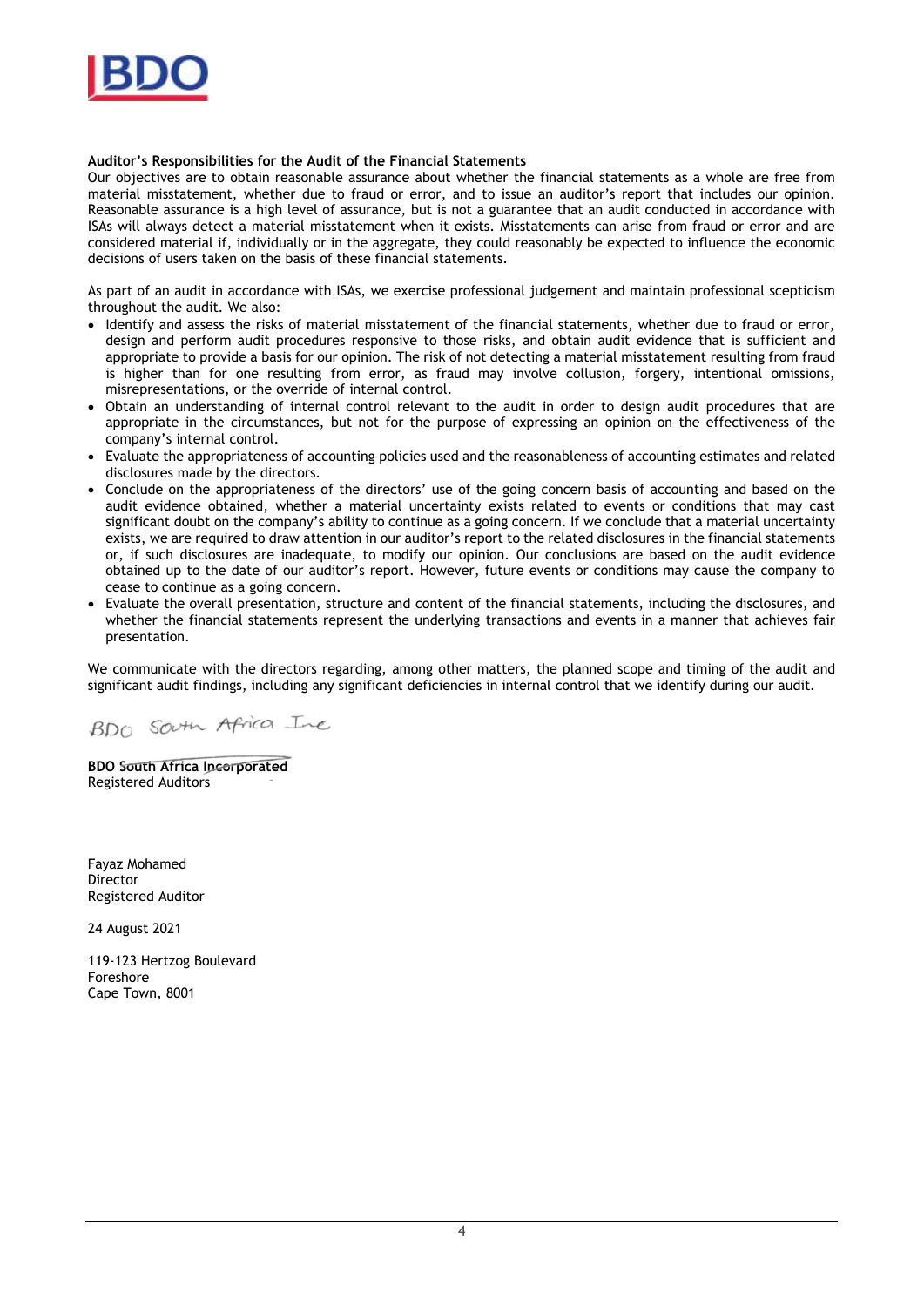

### **Auditor's Responsibilities for the Audit of the Financial Statements**

Our objectives are to obtain reasonable assurance about whether the financial statements as a whole are free from material misstatement, whether due to fraud or error, and to issue an auditor's report that includes our opinion. Reasonable assurance is a high level of assurance, but is not a guarantee that an audit conducted in accordance with ISAs will always detect a material misstatement when it exists. Misstatements can arise from fraud or error and are considered material if, individually or in the aggregate, they could reasonably be expected to influence the economic decisions of users taken on the basis of these financial statements.

As part of an audit in accordance with ISAs, we exercise professional judgement and maintain professional scepticism throughout the audit. We also:

- Identify and assess the risks of material misstatement of the financial statements, whether due to fraud or error, design and perform audit procedures responsive to those risks, and obtain audit evidence that is sufficient and appropriate to provide a basis for our opinion. The risk of not detecting a material misstatement resulting from fraud is higher than for one resulting from error, as fraud may involve collusion, forgery, intentional omissions, misrepresentations, or the override of internal control.
- Obtain an understanding of internal control relevant to the audit in order to design audit procedures that are appropriate in the circumstances, but not for the purpose of expressing an opinion on the effectiveness of the company's internal control.
- Evaluate the appropriateness of accounting policies used and the reasonableness of accounting estimates and related disclosures made by the directors.
- Conclude on the appropriateness of the directors' use of the going concern basis of accounting and based on the audit evidence obtained, whether a material uncertainty exists related to events or conditions that may cast significant doubt on the company's ability to continue as a going concern. If we conclude that a material uncertainty exists, we are required to draw attention in our auditor's report to the related disclosures in the financial statements or, if such disclosures are inadequate, to modify our opinion. Our conclusions are based on the audit evidence obtained up to the date of our auditor's report. However, future events or conditions may cause the company to cease to continue as a going concern.
- Evaluate the overall presentation, structure and content of the financial statements, including the disclosures, and whether the financial statements represent the underlying transactions and events in a manner that achieves fair presentation.

We communicate with the directors regarding, among other matters, the planned scope and timing of the audit and significant audit findings, including any significant deficiencies in internal control that we identify during our audit.

BDO SOUTH Africa Ine

**BDO South Africa Incorporated** Registered Auditors

Fayaz Mohamed **Director** Registered Auditor

24 August 2021

119-123 Hertzog Boulevard Foreshore Cape Town, 8001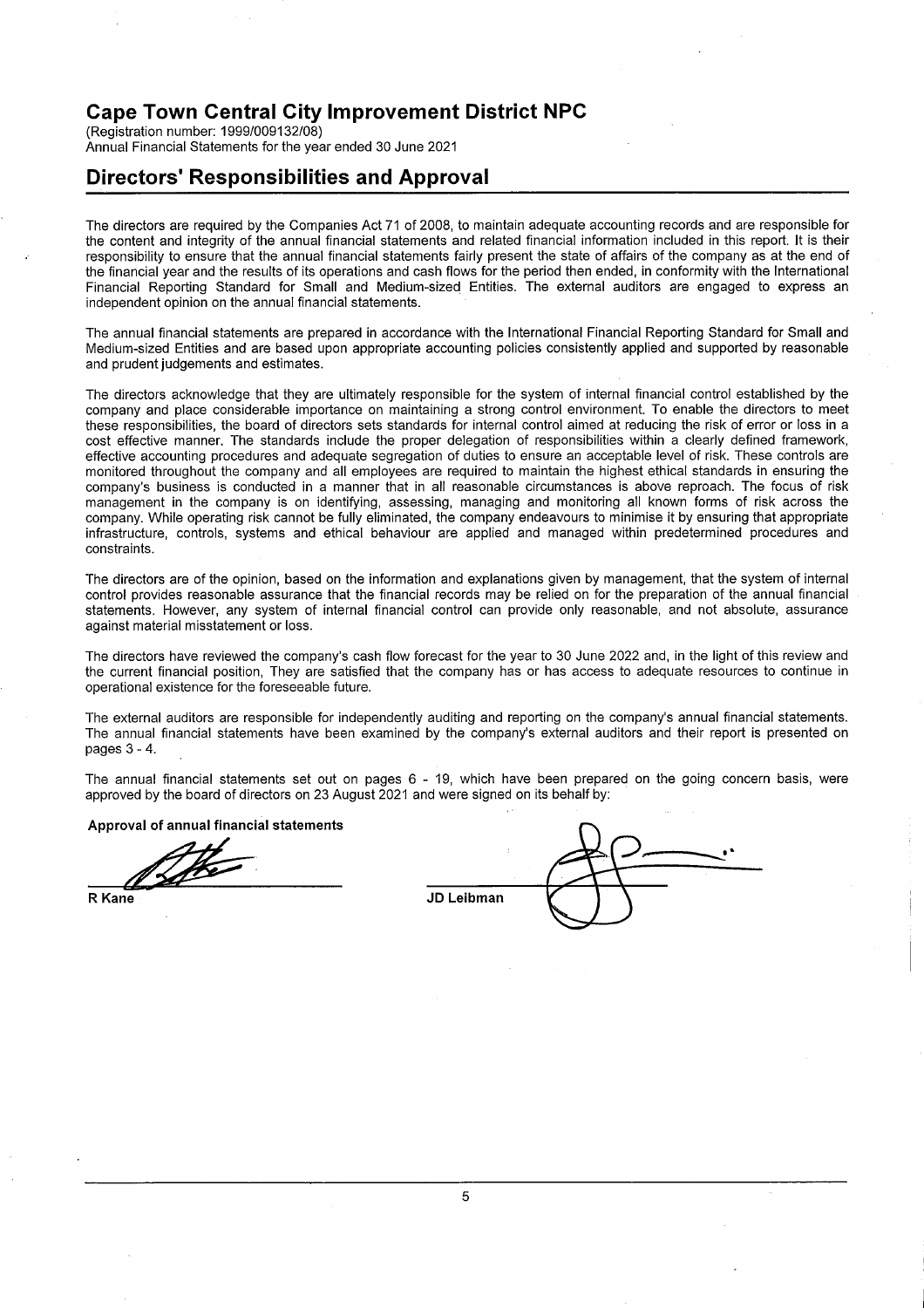(Registration number: 1999/009132/08) Annual Financial Statements for the year ended 30 June 2021

## **Directors' Responsibilities and Approval**

The directors are required by the Companies Act 71 of 2008, to maintain adequate accounting records and are responsible for the content and integrity of the annual financial statements and related financial information included in this report. It is their responsibility to ensure that the annual financial statements fairly present the state of affairs of the company as at the end of the financial year and the results of its operations and cash flows for the period then ended, in conformity with the International Financial Reporting Standard for Small and Medium-sized Entities. The external auditors are engaged to express an independent opinion on the annual financial statements.

The annual financial statements are prepared in accordance with the International Financial Reporting Standard for Small and Medium-sized Entities and are based upon appropriate accounting policies consistently applied and supported by reasonable and prudent judgements and estimates.

The directors acknowledge that they are ultimately responsible for the system of internal financial control established by the company and place considerable importance on maintaining a strong control environment. To enable the directors to meet these responsibilities, the board of directors sets standards for internal control aimed at reducing the risk of error or loss in a cost effective manner. The standards include the proper delegation of responsibilities within a clearly defined framework, effective accounting procedures and adequate segregation of duties to ensure an acceptable level of risk. These controls are monitored throughout the company and all employees are required to maintain the highest ethical standards in ensuring the company's business is conducted in a manner that in all reasonable circumstances is above reproach. The focus of risk management in the company is on identifying, assessing, managing and monitoring all known forms of risk across the company. While operating risk cannot be fully eliminated, the company endeavours to minimise it by ensuring that appropriate infrastructure, controls, systems and ethical behaviour are applied and managed within predetermined procedures and constraints.

The directors are of the opinion, based on the information and explanations given by management, that the system of internal control provides reasonable assurance that the financial records may be relied on for the preparation of the annual financial statements. However, any system of internal financial control can provide only reasonable, and not absolute, assurance against material misstatement or loss.

The directors have reviewed the company's cash flow forecast for the year to 30 June 2022 and, in the light of this review and the current financial position, They are satisfied that the company has or has access to adequate resources to continue in operational existence for the foreseeable future.

The external auditors are responsible for independently auditing and reporting on the company's annual financial statements. The annual financial statements have been examined by the company's external auditors and their report is presented on pages  $3 - 4$ .

The annual financial statements set out on pages 6 - 19, which have been prepared on the going concern basis, were approved by the board of directors on 23 August 2021 and were signed on its behalf by:

Approval of annual financial statements

R Kane

| JD Leibman |  |
|------------|--|

5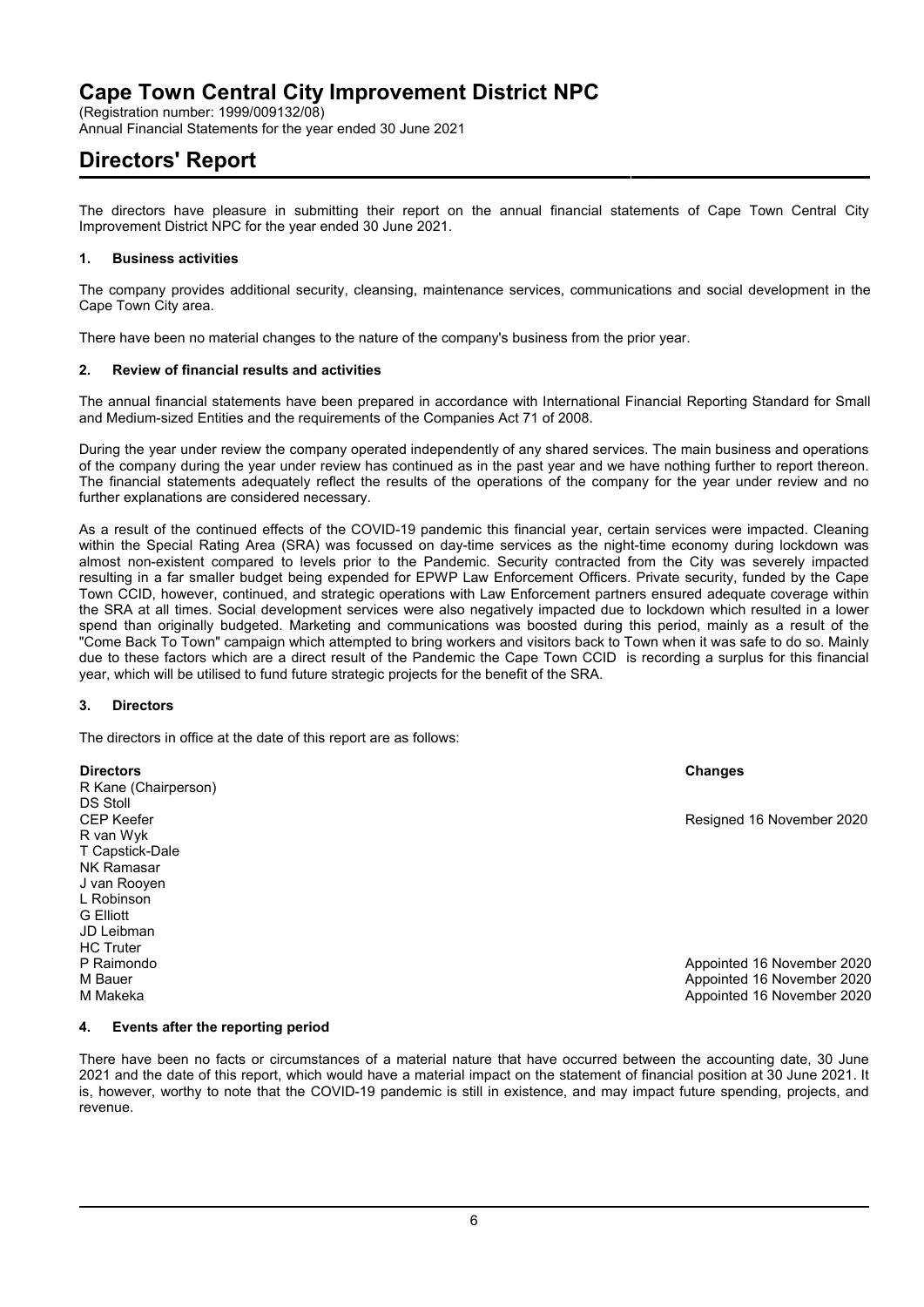(Registration number: 1999/009132/08)

Annual Financial Statements for the year ended 30 June 2021

# **Directors' Report**

The directors have pleasure in submitting their report on the annual financial statements of Cape Town Central City Improvement District NPC for the year ended 30 June 2021.

### **1. Business activities**

The company provides additional security, cleansing, maintenance services, communications and social development in the Cape Town City area.

There have been no material changes to the nature of the company's business from the prior year.

### **2. Review of financial results and activities**

The annual financial statements have been prepared in accordance with International Financial Reporting Standard for Small and Medium-sized Entities and the requirements of the Companies Act 71 of 2008.

During the year under review the company operated independently of any shared services. The main business and operations of the company during the year under review has continued as in the past year and we have nothing further to report thereon. The financial statements adequately reflect the results of the operations of the company for the year under review and no further explanations are considered necessary.

As a result of the continued effects of the COVID-19 pandemic this financial year, certain services were impacted. Cleaning within the Special Rating Area (SRA) was focussed on day-time services as the night-time economy during lockdown was almost non-existent compared to levels prior to the Pandemic. Security contracted from the City was severely impacted resulting in a far smaller budget being expended for EPWP Law Enforcement Officers. Private security, funded by the Cape Town CCID, however, continued, and strategic operations with Law Enforcement partners ensured adequate coverage within the SRA at all times. Social development services were also negatively impacted due to lockdown which resulted in a lower spend than originally budgeted. Marketing and communications was boosted during this period, mainly as a result of the "Come Back To Town" campaign which attempted to bring workers and visitors back to Town when it was safe to do so. Mainly due to these factors which are a direct result of the Pandemic the Cape Town CCID is recording a surplus for this financial year, which will be utilised to fund future strategic projects for the benefit of the SRA.

#### **3. Directors**

The directors in office at the date of this report are as follows:

**Directors Changes** R Kane (Chairperson) DS Stoll CEP Keefer Resigned 16 November 2020 R van Wyk T Capstick-Dale NK Ramasar J van Rooyen L Robinson G Elliott JD Leibman **HC Truter**<br>P Raimondo Appointed 16 November 2020 M Bauer Appointed 16 November 2020 M Makeka Appointed 16 November 2020

### **4. Events after the reporting period**

There have been no facts or circumstances of a material nature that have occurred between the accounting date, 30 June 2021 and the date of this report, which would have a material impact on the statement of financial position at 30 June 2021. It is, however, worthy to note that the COVID-19 pandemic is still in existence, and may impact future spending, projects, and revenue.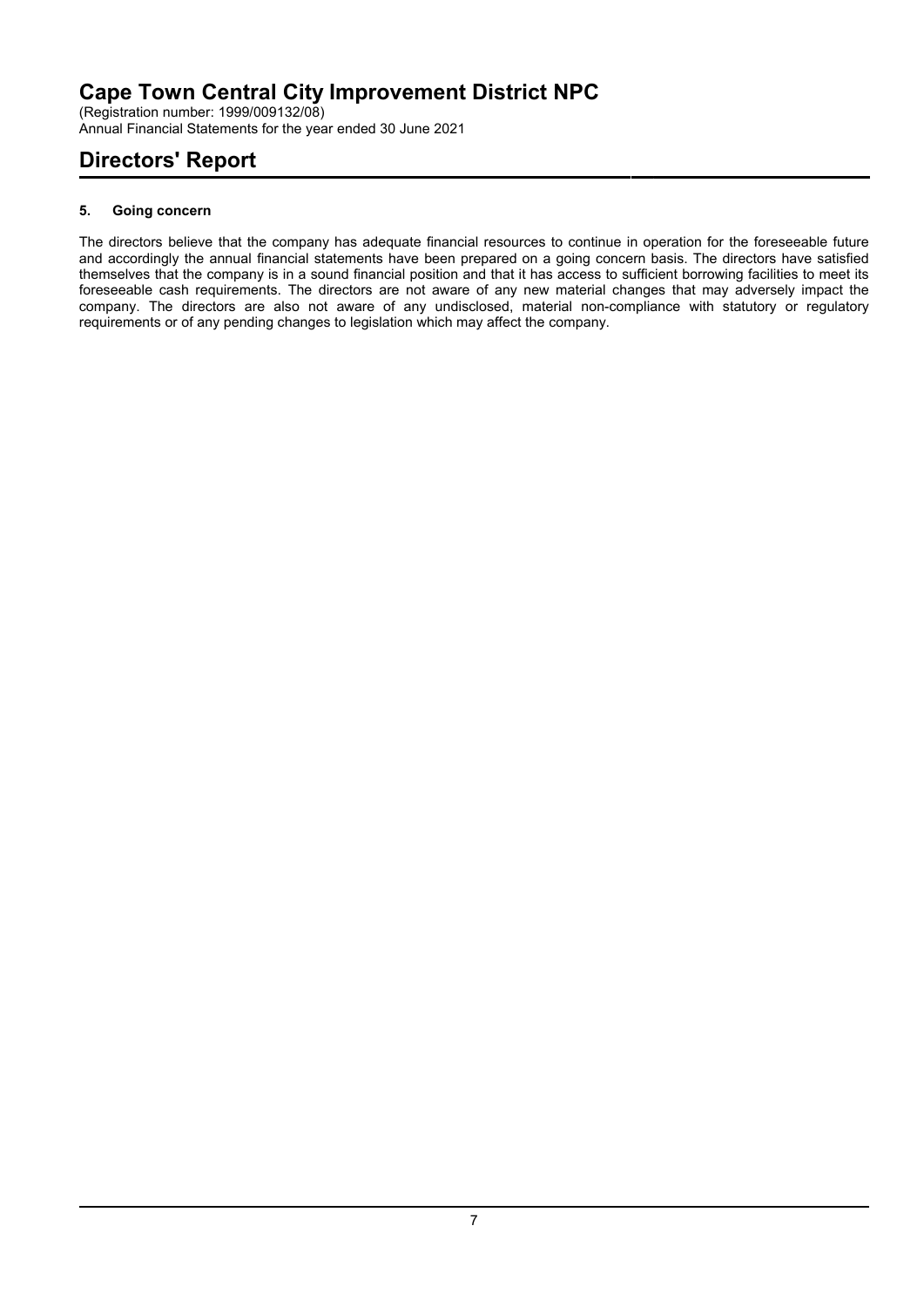(Registration number: 1999/009132/08) Annual Financial Statements for the year ended 30 June 2021

# **Directors' Report**

## **5. Going concern**

The directors believe that the company has adequate financial resources to continue in operation for the foreseeable future and accordingly the annual financial statements have been prepared on a going concern basis. The directors have satisfied themselves that the company is in a sound financial position and that it has access to sufficient borrowing facilities to meet its foreseeable cash requirements. The directors are not aware of any new material changes that may adversely impact the company. The directors are also not aware of any undisclosed, material non-compliance with statutory or regulatory requirements or of any pending changes to legislation which may affect the company.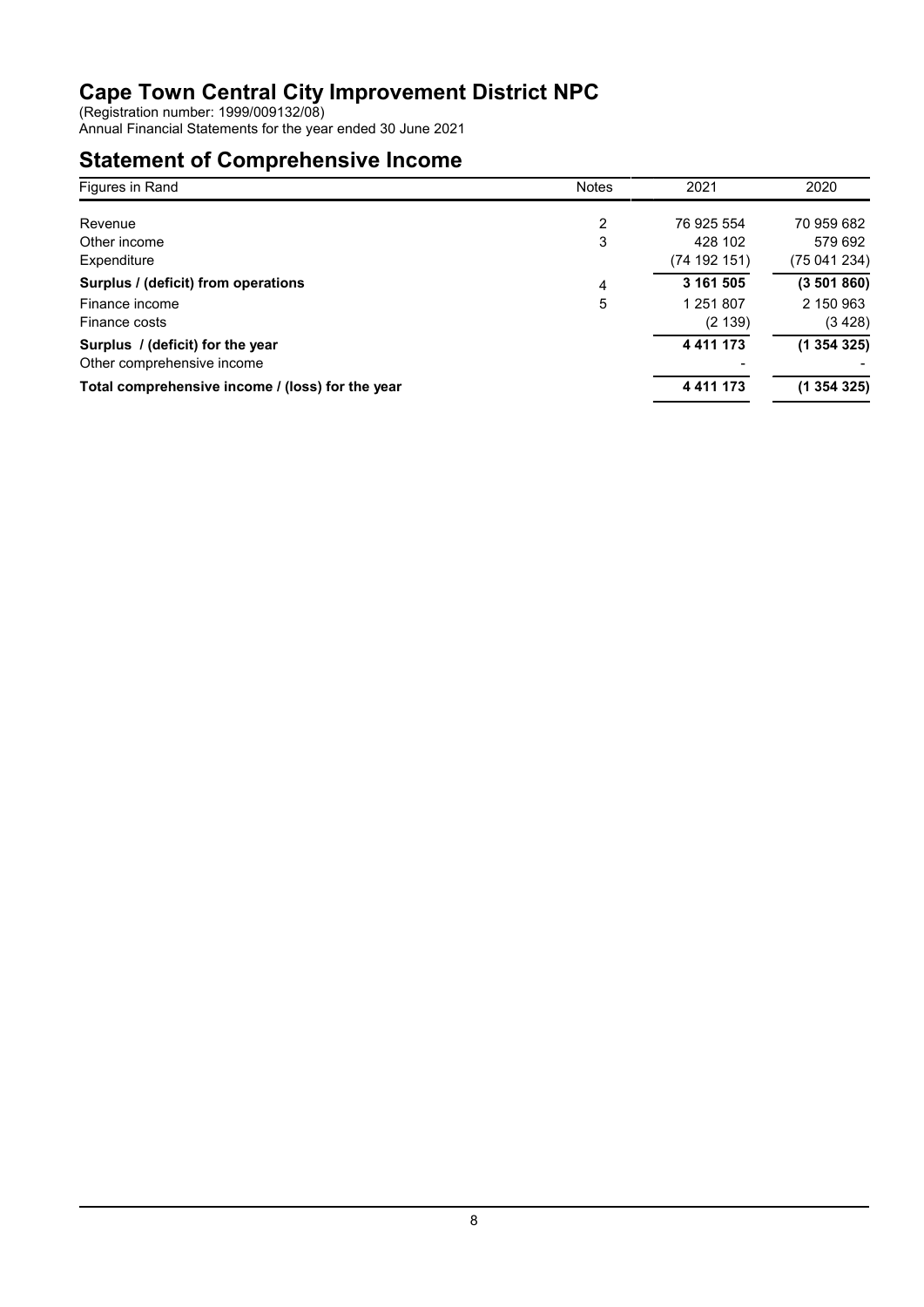(Registration number: 1999/009132/08)

Annual Financial Statements for the year ended 30 June 2021

# **Statement of Comprehensive Income**

| Figures in Rand                                  | <b>Notes</b> | 2021          | 2020       |
|--------------------------------------------------|--------------|---------------|------------|
|                                                  |              |               |            |
| Revenue                                          | 2            | 76 925 554    | 70 959 682 |
| Other income                                     | 3            | 428 102       | 579 692    |
| Expenditure                                      |              | (74 192 151)  | (75041234) |
| Surplus / (deficit) from operations              | 4            | 3 161 505     | (3501860)  |
| Finance income                                   | 5            | 1 251 807     | 2 150 963  |
| Finance costs                                    |              | (2139)        | (3 428)    |
| Surplus / (deficit) for the year                 |              | 4 4 1 1 1 7 3 | (1354325)  |
| Other comprehensive income                       |              |               |            |
| Total comprehensive income / (loss) for the year |              | 4 4 1 1 1 7 3 | (1354325)  |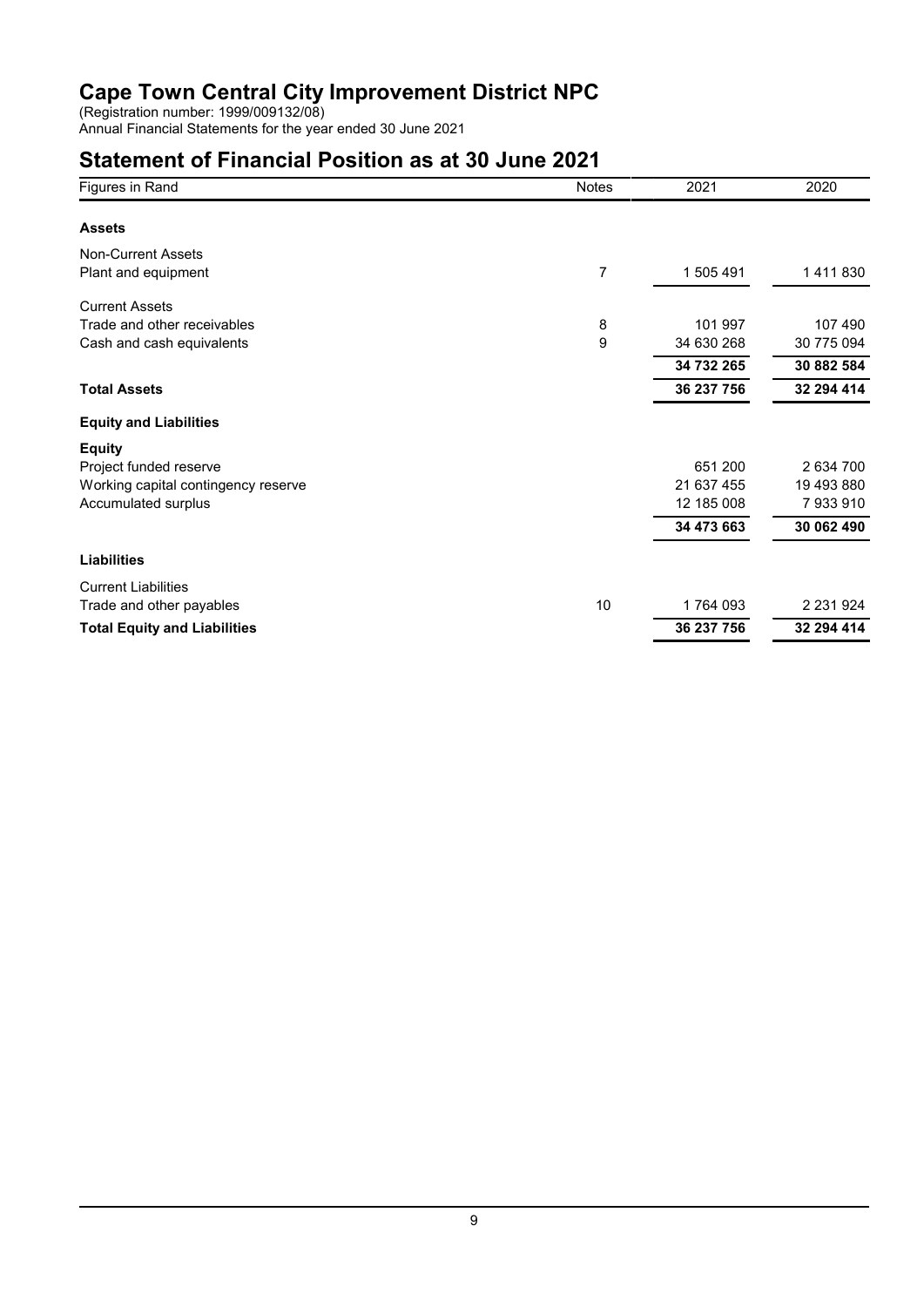(Registration number: 1999/009132/08)

Annual Financial Statements for the year ended 30 June 2021

# **Statement of Financial Position as at 30 June 2021**

| Figures in Rand                     | <b>Notes</b> | 2021       | 2020          |
|-------------------------------------|--------------|------------|---------------|
| <b>Assets</b>                       |              |            |               |
| <b>Non-Current Assets</b>           |              |            |               |
| Plant and equipment                 | 7            | 1 505 491  | 1411830       |
| <b>Current Assets</b>               |              |            |               |
| Trade and other receivables         | 8            | 101 997    | 107 490       |
| Cash and cash equivalents           | 9            | 34 630 268 | 30 775 094    |
|                                     |              | 34 732 265 | 30 882 584    |
| <b>Total Assets</b>                 |              | 36 237 756 | 32 294 414    |
| <b>Equity and Liabilities</b>       |              |            |               |
| <b>Equity</b>                       |              |            |               |
| Project funded reserve              |              | 651 200    | 2 634 700     |
| Working capital contingency reserve |              | 21 637 455 | 19 493 880    |
| Accumulated surplus                 |              | 12 185 008 | 7933910       |
|                                     |              | 34 473 663 | 30 062 490    |
| <b>Liabilities</b>                  |              |            |               |
| <b>Current Liabilities</b>          |              |            |               |
| Trade and other payables            | 10           | 1764 093   | 2 2 3 1 9 2 4 |
| <b>Total Equity and Liabilities</b> |              | 36 237 756 | 32 294 414    |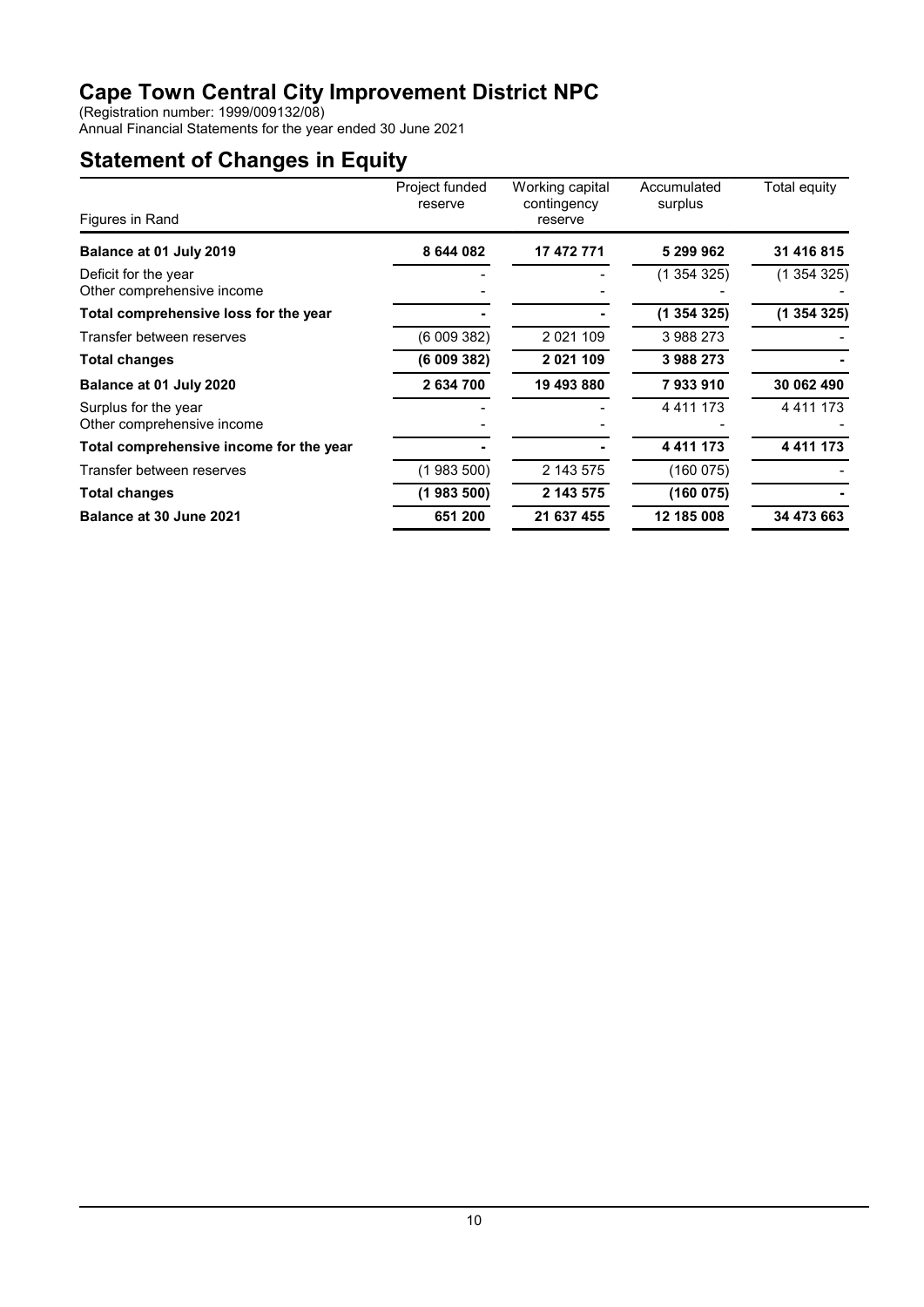(Registration number: 1999/009132/08)

Annual Financial Statements for the year ended 30 June 2021

# **Statement of Changes in Equity**

|                                                    | Project funded | Working capital        | Accumulated   | Total equity  |
|----------------------------------------------------|----------------|------------------------|---------------|---------------|
| Figures in Rand                                    | reserve        | contingency<br>reserve | surplus       |               |
| Balance at 01 July 2019                            | 8 644 082      | 17 472 771             | 5 299 962     | 31 416 815    |
| Deficit for the year<br>Other comprehensive income |                |                        | (1 354 325)   | (1 354 325)   |
| Total comprehensive loss for the year              |                |                        | (1354325)     | (1 354 325)   |
| Transfer between reserves                          | (6 009 382)    | 2 0 2 1 1 0 9          | 3988273       |               |
| Total changes                                      | (6009382)      | 2 021 109              | 3988273       |               |
| Balance at 01 July 2020                            | 2 634 700      | 19 493 880             | 7933910       | 30 062 490    |
| Surplus for the year<br>Other comprehensive income |                |                        | 4 4 1 1 1 7 3 | 4 4 1 1 1 7 3 |
| Total comprehensive income for the year            |                |                        | 4 4 1 1 1 7 3 | 4 4 1 1 1 7 3 |
| Transfer between reserves                          | (1 983 500)    | 2 143 575              | (160075)      |               |
| <b>Total changes</b>                               | (1983500)      | 2 143 575              | (160 075)     |               |
| Balance at 30 June 2021                            | 651 200        | 21 637 455             | 12 185 008    | 34 473 663    |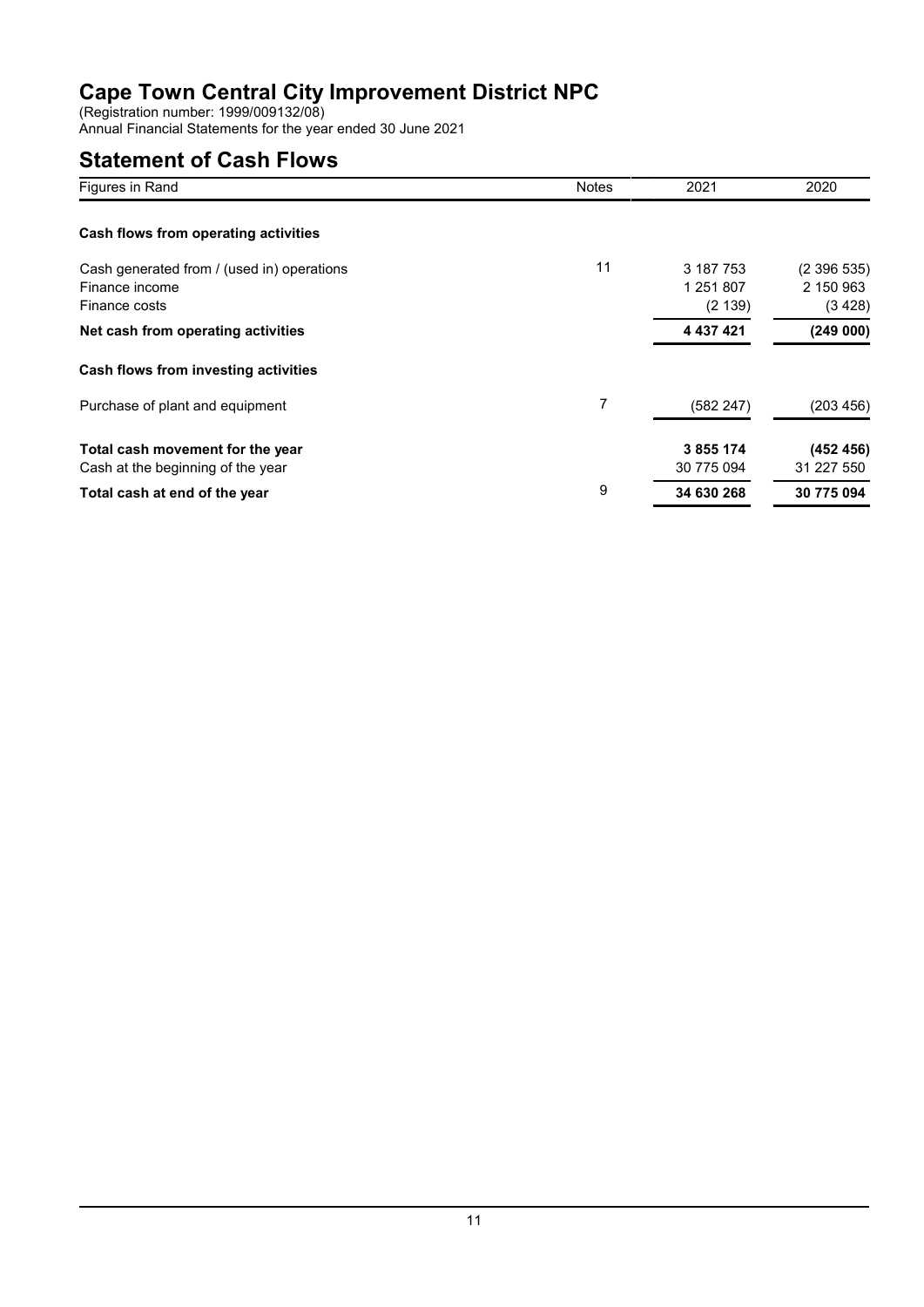(Registration number: 1999/009132/08)

Annual Financial Statements for the year ended 30 June 2021

# **Statement of Cash Flows**

| Figures in Rand                            | <b>Notes</b> | 2021       | 2020       |
|--------------------------------------------|--------------|------------|------------|
| Cash flows from operating activities       |              |            |            |
| Cash generated from / (used in) operations | 11           | 3 187 753  | (2396535)  |
| Finance income                             |              | 1 251 807  | 2 150 963  |
| Finance costs                              |              | (2139)     | (3 428)    |
| Net cash from operating activities         |              | 4 437 421  | (249000)   |
| Cash flows from investing activities       |              |            |            |
| Purchase of plant and equipment            | 7            | (582 247)  | (203 456)  |
| Total cash movement for the year           |              | 3 855 174  | (452 456)  |
| Cash at the beginning of the year          |              | 30 775 094 | 31 227 550 |
| Total cash at end of the year              | 9            | 34 630 268 | 30 775 094 |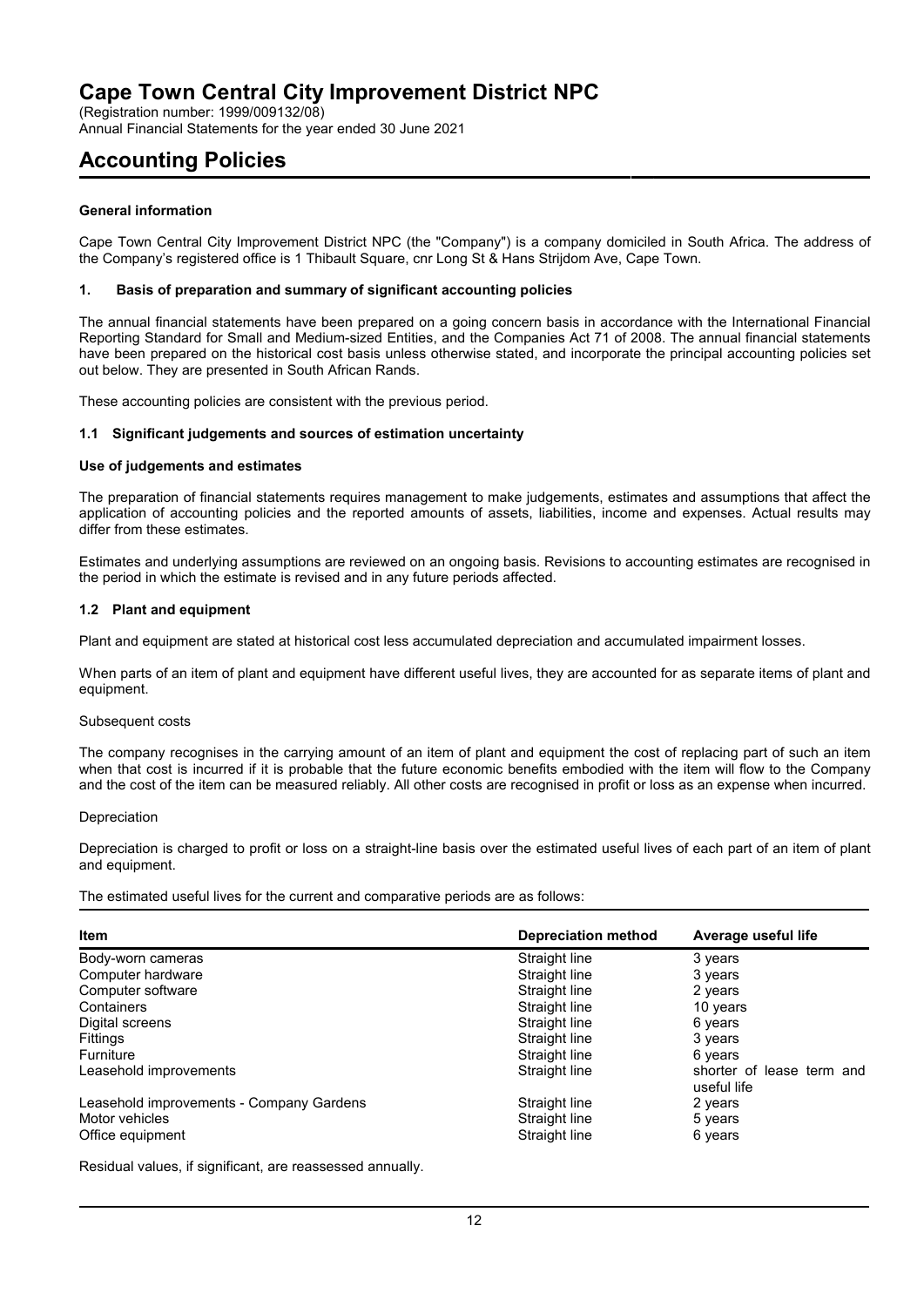(Registration number: 1999/009132/08)

Annual Financial Statements for the year ended 30 June 2021

## **Accounting Policies**

### **General information**

Cape Town Central City Improvement District NPC (the "Company") is a company domiciled in South Africa. The address of the Company's registered office is 1 Thibault Square, cnr Long St & Hans Strijdom Ave, Cape Town.

#### **1. Basis of preparation and summary of significant accounting policies**

The annual financial statements have been prepared on a going concern basis in accordance with the International Financial Reporting Standard for Small and Medium-sized Entities, and the Companies Act 71 of 2008. The annual financial statements have been prepared on the historical cost basis unless otherwise stated, and incorporate the principal accounting policies set out below. They are presented in South African Rands.

These accounting policies are consistent with the previous period.

#### **1.1 Significant judgements and sources of estimation uncertainty**

#### **Use of judgements and estimates**

The preparation of financial statements requires management to make judgements, estimates and assumptions that affect the application of accounting policies and the reported amounts of assets, liabilities, income and expenses. Actual results may differ from these estimates.

Estimates and underlying assumptions are reviewed on an ongoing basis. Revisions to accounting estimates are recognised in the period in which the estimate is revised and in any future periods affected.

#### **1.2 Plant and equipment**

Plant and equipment are stated at historical cost less accumulated depreciation and accumulated impairment losses.

When parts of an item of plant and equipment have different useful lives, they are accounted for as separate items of plant and equipment.

#### Subsequent costs

The company recognises in the carrying amount of an item of plant and equipment the cost of replacing part of such an item when that cost is incurred if it is probable that the future economic benefits embodied with the item will flow to the Company and the cost of the item can be measured reliably. All other costs are recognised in profit or loss as an expense when incurred.

#### Depreciation

Depreciation is charged to profit or loss on a straight-line basis over the estimated useful lives of each part of an item of plant and equipment.

The estimated useful lives for the current and comparative periods are as follows:

| <b>Item</b>                              | <b>Depreciation method</b> | Average useful life                      |  |
|------------------------------------------|----------------------------|------------------------------------------|--|
| Body-worn cameras                        | Straight line              | 3 years                                  |  |
| Computer hardware                        | Straight line              | 3 years                                  |  |
| Computer software                        | Straight line              | 2 years                                  |  |
| Containers                               | Straight line              | 10 years                                 |  |
| Digital screens                          | Straight line              | 6 years                                  |  |
| Fittings                                 | Straight line              | 3 years                                  |  |
| <b>Furniture</b>                         | Straight line              | 6 years                                  |  |
| Leasehold improvements                   | Straight line              | shorter of lease term and<br>useful life |  |
| Leasehold improvements - Company Gardens | Straight line              | 2 years                                  |  |
| Motor vehicles                           | Straight line              | 5 years                                  |  |
| Office equipment                         | Straight line              | 6 years                                  |  |

Residual values, if significant, are reassessed annually.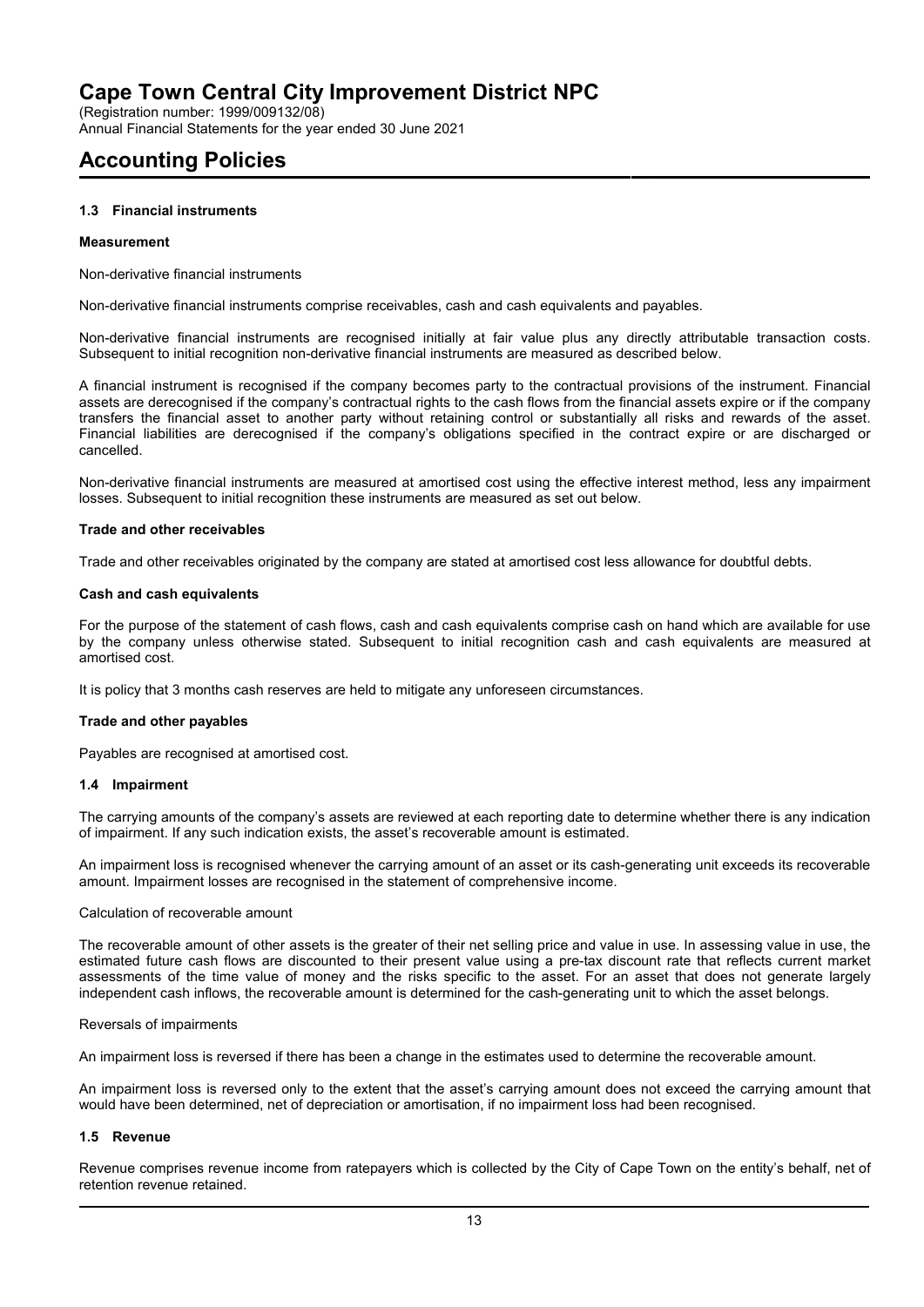(Registration number: 1999/009132/08)

Annual Financial Statements for the year ended 30 June 2021

# **Accounting Policies**

### **1.3 Financial instruments**

#### **Measurement**

Non-derivative financial instruments

Non-derivative financial instruments comprise receivables, cash and cash equivalents and payables.

Non-derivative financial instruments are recognised initially at fair value plus any directly attributable transaction costs. Subsequent to initial recognition non-derivative financial instruments are measured as described below.

A financial instrument is recognised if the company becomes party to the contractual provisions of the instrument. Financial assets are derecognised if the company's contractual rights to the cash flows from the financial assets expire or if the company transfers the financial asset to another party without retaining control or substantially all risks and rewards of the asset. Financial liabilities are derecognised if the company's obligations specified in the contract expire or are discharged or cancelled.

Non-derivative financial instruments are measured at amortised cost using the effective interest method, less any impairment losses. Subsequent to initial recognition these instruments are measured as set out below.

#### **Trade and other receivables**

Trade and other receivables originated by the company are stated at amortised cost less allowance for doubtful debts.

#### **Cash and cash equivalents**

For the purpose of the statement of cash flows, cash and cash equivalents comprise cash on hand which are available for use by the company unless otherwise stated. Subsequent to initial recognition cash and cash equivalents are measured at amortised cost.

It is policy that 3 months cash reserves are held to mitigate any unforeseen circumstances.

#### **Trade and other payables**

Payables are recognised at amortised cost.

#### **1.4 Impairment**

The carrying amounts of the company's assets are reviewed at each reporting date to determine whether there is any indication of impairment. If any such indication exists, the asset's recoverable amount is estimated.

An impairment loss is recognised whenever the carrying amount of an asset or its cash-generating unit exceeds its recoverable amount. Impairment losses are recognised in the statement of comprehensive income.

#### Calculation of recoverable amount

The recoverable amount of other assets is the greater of their net selling price and value in use. In assessing value in use, the estimated future cash flows are discounted to their present value using a pre-tax discount rate that reflects current market assessments of the time value of money and the risks specific to the asset. For an asset that does not generate largely independent cash inflows, the recoverable amount is determined for the cash-generating unit to which the asset belongs.

#### Reversals of impairments

An impairment loss is reversed if there has been a change in the estimates used to determine the recoverable amount.

An impairment loss is reversed only to the extent that the asset's carrying amount does not exceed the carrying amount that would have been determined, net of depreciation or amortisation, if no impairment loss had been recognised.

### **1.5 Revenue**

Revenue comprises revenue income from ratepayers which is collected by the City of Cape Town on the entity's behalf, net of retention revenue retained.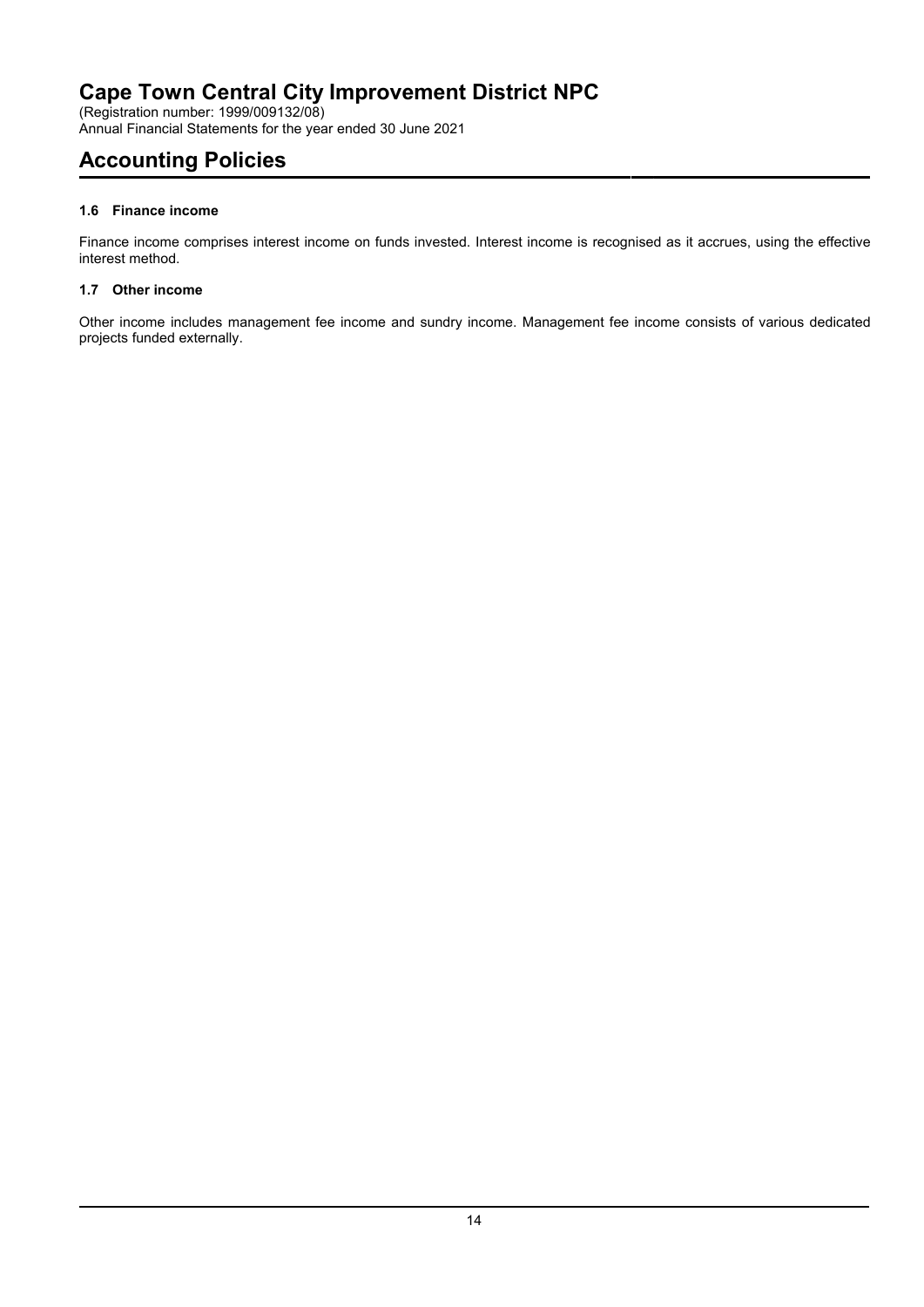(Registration number: 1999/009132/08) Annual Financial Statements for the year ended 30 June 2021

# **Accounting Policies**

## **1.6 Finance income**

Finance income comprises interest income on funds invested. Interest income is recognised as it accrues, using the effective interest method.

## **1.7 Other income**

Other income includes management fee income and sundry income. Management fee income consists of various dedicated projects funded externally.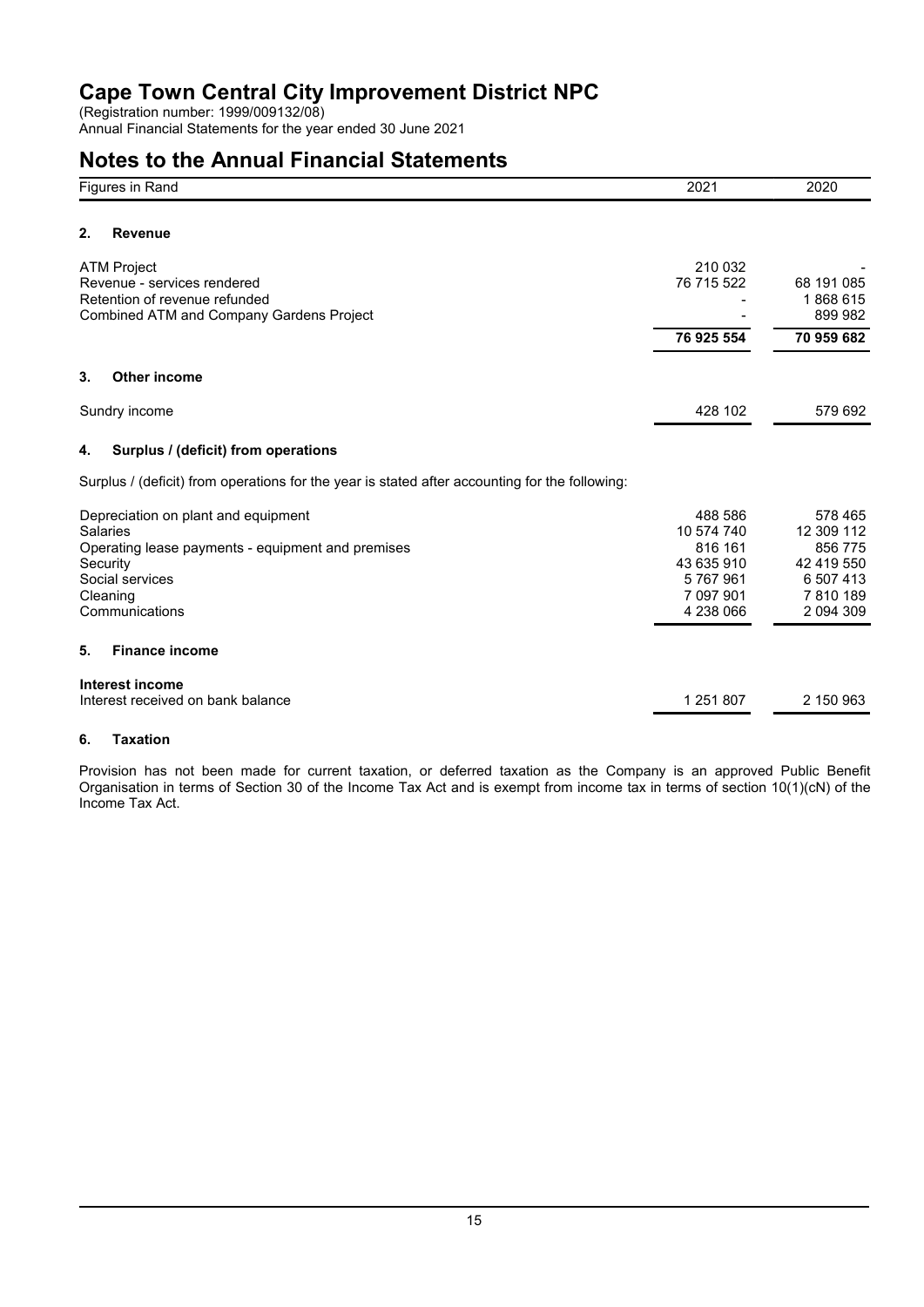(Registration number: 1999/009132/08) Annual Financial Statements for the year ended 30 June 2021

# **Notes to the Annual Financial Statements**

| Figures in Rand                                                                                                                                                          | 2021                                                                                | 2020                                                                                |
|--------------------------------------------------------------------------------------------------------------------------------------------------------------------------|-------------------------------------------------------------------------------------|-------------------------------------------------------------------------------------|
| 2.<br><b>Revenue</b>                                                                                                                                                     |                                                                                     |                                                                                     |
| <b>ATM Project</b><br>Revenue - services rendered<br>Retention of revenue refunded<br>Combined ATM and Company Gardens Project                                           | 210 032<br>76 715 522                                                               | 68 191 085<br>1868615<br>899 982                                                    |
|                                                                                                                                                                          | 76 925 554                                                                          | 70 959 682                                                                          |
| 3.<br><b>Other income</b>                                                                                                                                                |                                                                                     |                                                                                     |
| Sundry income                                                                                                                                                            | 428 102                                                                             | 579 692                                                                             |
| Surplus / (deficit) from operations<br>4.                                                                                                                                |                                                                                     |                                                                                     |
| Surplus / (deficit) from operations for the year is stated after accounting for the following:                                                                           |                                                                                     |                                                                                     |
| Depreciation on plant and equipment<br><b>Salaries</b><br>Operating lease payments - equipment and premises<br>Security<br>Social services<br>Cleaning<br>Communications | 488 586<br>10 574 740<br>816 161<br>43 635 910<br>5767961<br>7 097 901<br>4 238 066 | 578 465<br>12 309 112<br>856 775<br>42 419 550<br>6 507 413<br>7810189<br>2 094 309 |
| <b>Finance income</b><br>5.                                                                                                                                              |                                                                                     |                                                                                     |
| Interest income<br>Interest received on bank balance                                                                                                                     | 1 251 807                                                                           | 2 150 963                                                                           |

## **6. Taxation**

Provision has not been made for current taxation, or deferred taxation as the Company is an approved Public Benefit Organisation in terms of Section 30 of the Income Tax Act and is exempt from income tax in terms of section 10(1)(cN) of the Income Tax Act.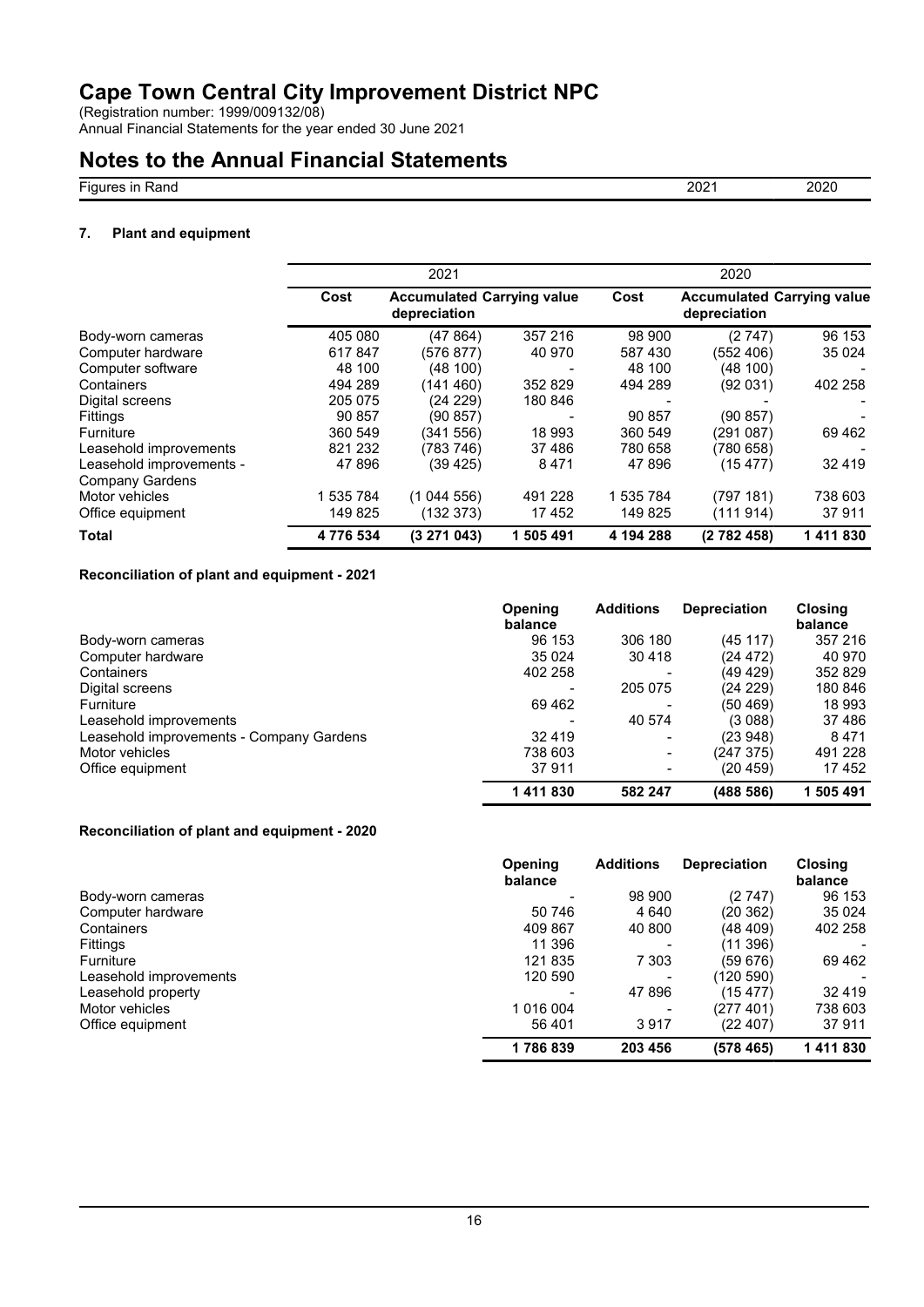(Registration number: 1999/009132/08)

Annual Financial Statements for the year ended 30 June 2021

## **Notes to the Annual Financial Statements**

Figures in Rand 2020 2021 2020

### **7. Plant and equipment**

|                          |           | 2021                                              |           |           | 2020         |                                   |
|--------------------------|-----------|---------------------------------------------------|-----------|-----------|--------------|-----------------------------------|
|                          | Cost      | <b>Accumulated Carrying value</b><br>depreciation |           | Cost      | depreciation | <b>Accumulated Carrying value</b> |
| Body-worn cameras        | 405 080   | (47864)                                           | 357 216   | 98 900    | (2747)       | 96 153                            |
| Computer hardware        | 617847    | (576 877)                                         | 40 970    | 587 430   | (552 406)    | 35 0 24                           |
| Computer software        | 48 100    | (48100)                                           |           | 48 100    | (48 100)     |                                   |
| Containers               | 494 289   | (141 460)                                         | 352829    | 494 289   | (92031)      | 402 258                           |
| Digital screens          | 205 075   | (24 229)                                          | 180 846   |           |              |                                   |
| <b>Fittings</b>          | 90 857    | (90857)                                           |           | 90 857    | (90857)      |                                   |
| <b>Furniture</b>         | 360 549   | (341 556)                                         | 18 993    | 360 549   | (291 087)    | 69462                             |
| Leasehold improvements   | 821 232   | (783 746)                                         | 37486     | 780 658   | (780658)     |                                   |
| Leasehold improvements - | 47 896    | (39 425)                                          | 8471      | 47 896    | (15 477)     | 32 4 19                           |
| <b>Company Gardens</b>   |           |                                                   |           |           |              |                                   |
| Motor vehicles           | 1 535 784 | (1044556)                                         | 491 228   | 1 535 784 | (797 181)    | 738 603                           |
| Office equipment         | 149 825   | (132373)                                          | 17452     | 149 825   | (111914)     | 37911                             |
| <b>Total</b>             | 4776534   | (3271043)                                         | 1 505 491 | 4 194 288 | (2782458)    | 1411830                           |

### **Reconciliation of plant and equipment - 2021**

|                                          | <b>Opening</b><br>balance | <b>Additions</b>         | <b>Depreciation</b> | <b>Closing</b><br>balance |
|------------------------------------------|---------------------------|--------------------------|---------------------|---------------------------|
| Body-worn cameras                        | 96 153                    | 306 180                  | (45117)             | 357 216                   |
| Computer hardware                        | 35 0 24                   | 30 4 18                  | (24 472)            | 40 970                    |
| Containers                               | 402 258                   |                          | (49 429)            | 352 829                   |
| Digital screens                          |                           | 205 075                  | (24 229)            | 180 846                   |
| Furniture                                | 69462                     |                          | (50 469)            | 18 993                    |
| Leasehold improvements                   |                           | 40 574                   | (3088)              | 37486                     |
| Leasehold improvements - Company Gardens | 32 4 19                   |                          | (23 948)            | 8471                      |
| Motor vehicles                           | 738 603                   |                          | (247375)            | 491 228                   |
| Office equipment                         | 37911                     | $\overline{\phantom{a}}$ | (20 459)            | 17452                     |
|                                          | 1411830                   | 582 247                  | (488 586)           | 505 491                   |

### **Reconciliation of plant and equipment - 2020**

|                        | <b>Opening</b><br>balance | <b>Additions</b> | <b>Depreciation</b> | <b>Closing</b><br>balance |
|------------------------|---------------------------|------------------|---------------------|---------------------------|
| Body-worn cameras      |                           | 98 900           | (2 747)             | 96 153                    |
| Computer hardware      | 50 746                    | 4 640            | (20 362)            | 35 0 24                   |
| Containers             | 409 867                   | 40 800           | (48 409)            | 402 258                   |
| <b>Fittings</b>        | 11 396                    |                  | (11 396)            |                           |
| Furniture              | 121835                    | 7 3 0 3          | (59676)             | 69 4 62                   |
| Leasehold improvements | 120 590                   |                  | (120 590)           |                           |
| Leasehold property     |                           | 47 896           | (15477)             | 32 419                    |
| Motor vehicles         | 1 016 004                 |                  | (277 401)           | 738 603                   |
| Office equipment       | 56 401                    | 3917             | (22 407)            | 37911                     |
|                        | 1786839                   | 203 456          | (578 465)           | 1411830                   |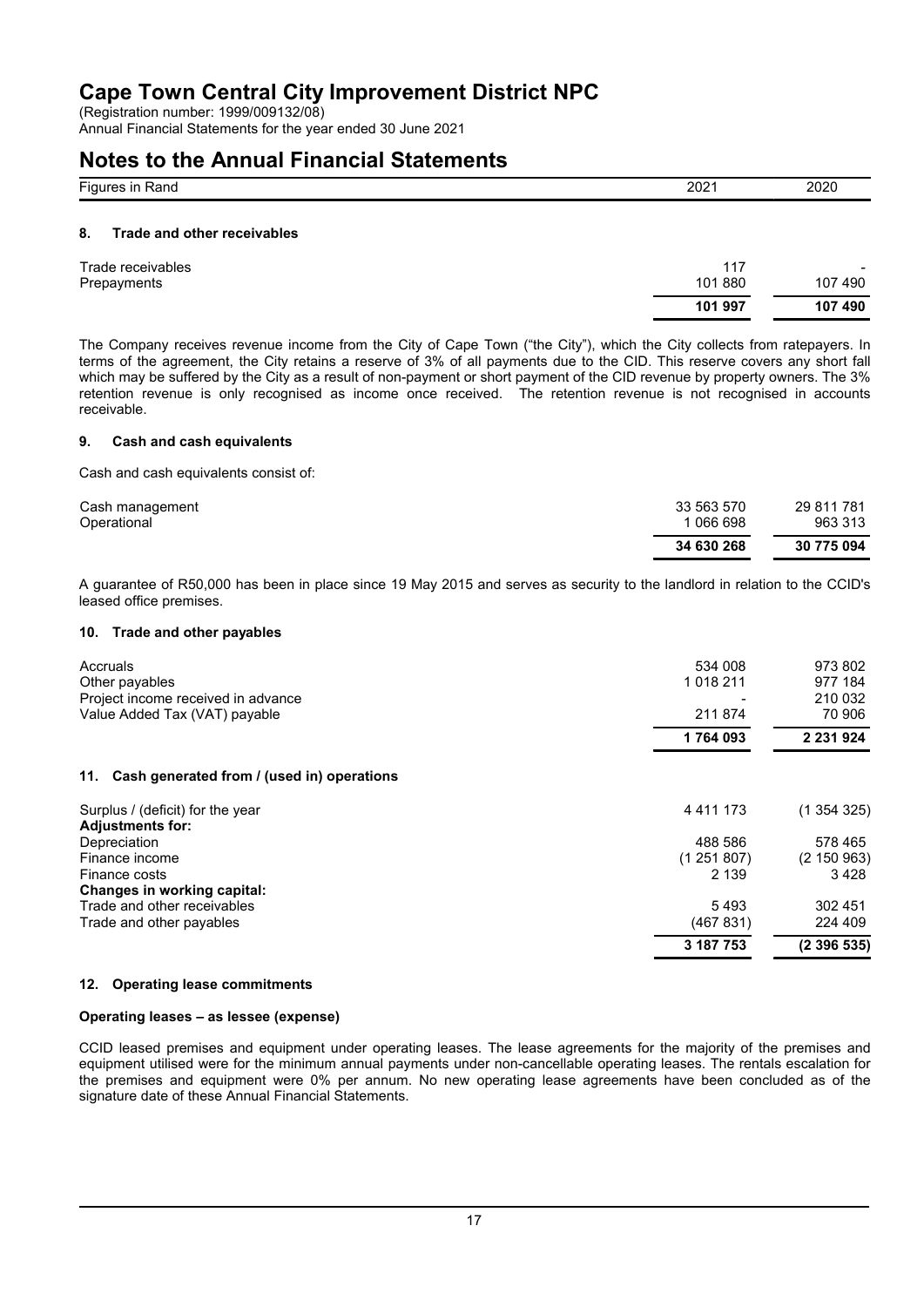(Registration number: 1999/009132/08)

Annual Financial Statements for the year ended 30 June 2021

## **Notes to the Annual Financial Statements**

| $-$<br>$ -$<br>Fiai<br>7 αι ιω | 202 | 2020 |
|--------------------------------|-----|------|
|                                |     |      |

### **8. Trade and other receivables**

| Trade receivables | 117     | $\sim$  |
|-------------------|---------|---------|
| Prepayments       | 101 880 | 107490  |
|                   | 101 997 | 107 490 |

The Company receives revenue income from the City of Cape Town ("the City"), which the City collects from ratepayers. In terms of the agreement, the City retains a reserve of 3% of all payments due to the CID. This reserve covers any short fall which may be suffered by the City as a result of non-payment or short payment of the CID revenue by property owners. The 3% retention revenue is only recognised as income once received. The retention revenue is not recognised in accounts receivable.

### **9. Cash and cash equivalents**

Cash and cash equivalents consist of:

|                 | 34 630 268 | 30 775 094 |
|-----------------|------------|------------|
| Operational     | 1 066 698  | 963 313    |
| Cash management | 33 563 570 | 29 811 781 |

A guarantee of R50,000 has been in place since 19 May 2015 and serves as security to the landlord in relation to the CCID's leased office premises.

#### **10. Trade and other payables**

| Accruals                                          | 534 008       | 973 802     |
|---------------------------------------------------|---------------|-------------|
| Other payables                                    | 1 0 18 2 11   | 977 184     |
| Project income received in advance                |               | 210 032     |
| Value Added Tax (VAT) payable                     | 211 874       | 70 906      |
|                                                   | 1764093       | 2 231 924   |
| Cash generated from / (used in) operations<br>11. |               |             |
| Surplus / (deficit) for the year                  | 4 4 1 1 1 7 3 | (1354325)   |
| <b>Adjustments for:</b>                           |               |             |
| Depreciation                                      | 488 586       | 578 465     |
| Finance income                                    | (1251807)     | (2 150 963) |
| Finance costs                                     | 2 1 3 9       | 3 4 2 8     |
| Changes in working capital:                       |               |             |
| Trade and other receivables                       | 5493          | 302 451     |
| Trade and other payables                          | (467831)      | 224 409     |
|                                                   | 3 187 753     | (2396535)   |

### **12. Operating lease commitments**

### **Operating leases – as lessee (expense)**

CCID leased premises and equipment under operating leases. The lease agreements for the majority of the premises and equipment utilised were for the minimum annual payments under non-cancellable operating leases. The rentals escalation for the premises and equipment were 0% per annum. No new operating lease agreements have been concluded as of the signature date of these Annual Financial Statements.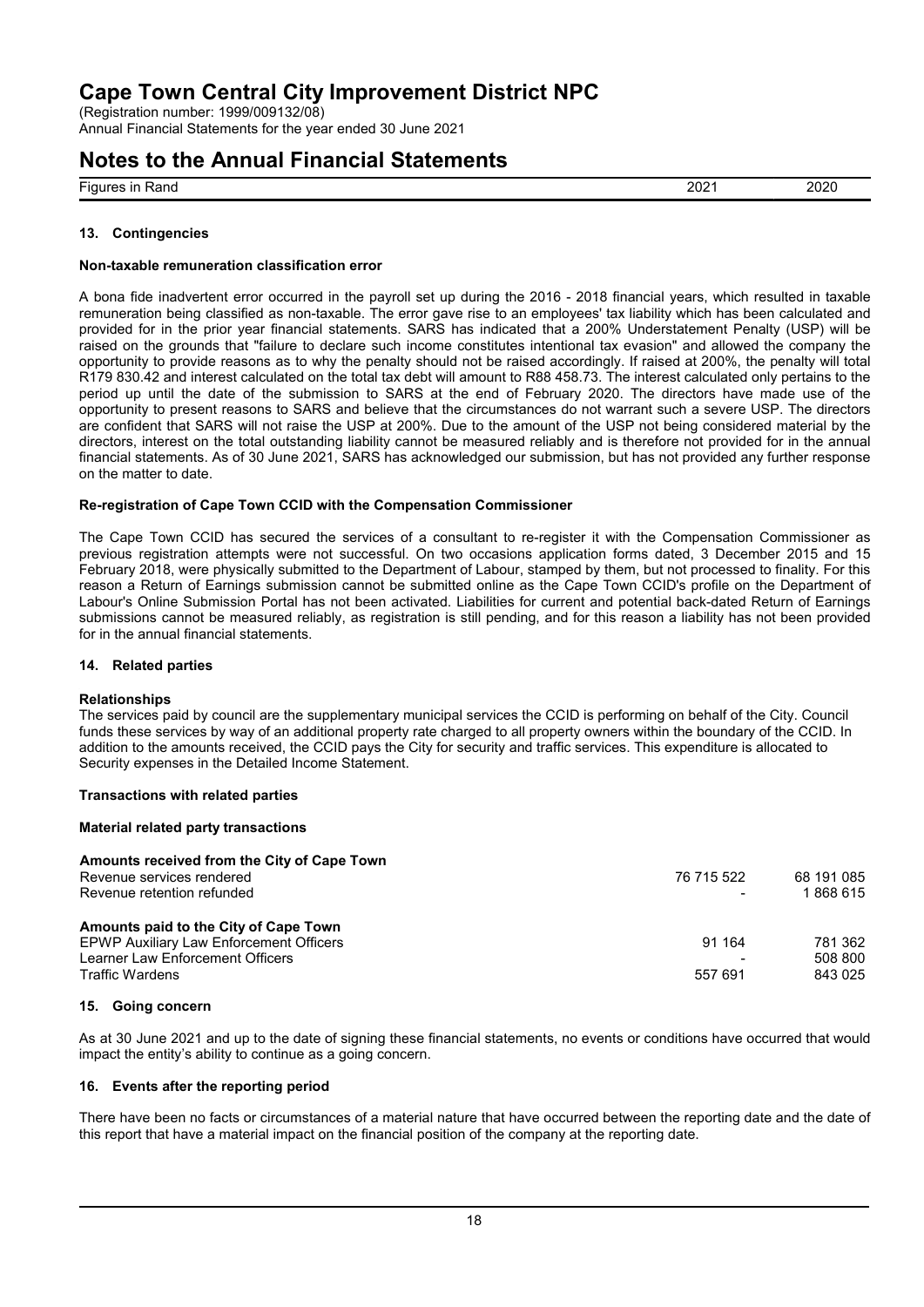(Registration number: 1999/009132/08) Annual Financial Statements for the year ended 30 June 2021

# **Notes to the Annual Financial Statements**

Figures in Rand 2021 2020

### **13. Contingencies**

#### **Non-taxable remuneration classification error**

A bona fide inadvertent error occurred in the payroll set up during the 2016 - 2018 financial years, which resulted in taxable remuneration being classified as non-taxable. The error gave rise to an employees' tax liability which has been calculated and provided for in the prior year financial statements. SARS has indicated that a 200% Understatement Penalty (USP) will be raised on the grounds that "failure to declare such income constitutes intentional tax evasion" and allowed the company the opportunity to provide reasons as to why the penalty should not be raised accordingly. If raised at 200%, the penalty will total R179 830.42 and interest calculated on the total tax debt will amount to R88 458.73. The interest calculated only pertains to the period up until the date of the submission to SARS at the end of February 2020. The directors have made use of the opportunity to present reasons to SARS and believe that the circumstances do not warrant such a severe USP. The directors are confident that SARS will not raise the USP at 200%. Due to the amount of the USP not being considered material by the directors, interest on the total outstanding liability cannot be measured reliably and is therefore not provided for in the annual financial statements. As of 30 June 2021, SARS has acknowledged our submission, but has not provided any further response on the matter to date.

### **Re-registration of Cape Town CCID with the Compensation Commissioner**

The Cape Town CCID has secured the services of a consultant to re-register it with the Compensation Commissioner as previous registration attempts were not successful. On two occasions application forms dated, 3 December 2015 and 15 February 2018, were physically submitted to the Department of Labour, stamped by them, but not processed to finality. For this reason a Return of Earnings submission cannot be submitted online as the Cape Town CCID's profile on the Department of Labour's Online Submission Portal has not been activated. Liabilities for current and potential back-dated Return of Earnings submissions cannot be measured reliably, as registration is still pending, and for this reason a liability has not been provided for in the annual financial statements.

### **14. Related parties**

### **Relationships**

The services paid by council are the supplementary municipal services the CCID is performing on behalf of the City. Council funds these services by way of an additional property rate charged to all property owners within the boundary of the CCID. In addition to the amounts received, the CCID pays the City for security and traffic services. This expenditure is allocated to Security expenses in the Detailed Income Statement.

### **Transactions with related parties**

### **Material related party transactions**

| Amounts received from the City of Cape Town |                |            |
|---------------------------------------------|----------------|------------|
| Revenue services rendered                   | 76 715 522     | 68 191 085 |
| Revenue retention refunded                  | $\blacksquare$ | 1868615    |
| Amounts paid to the City of Cape Town       |                |            |
| EPWP Auxiliary Law Enforcement Officers     | 91 164         | 781 362    |
| Learner Law Enforcement Officers            |                | 508 800    |
| Traffic Wardens                             | 557 691        | 843 025    |

#### **15. Going concern**

As at 30 June 2021 and up to the date of signing these financial statements, no events or conditions have occurred that would impact the entity's ability to continue as a going concern.

### **16. Events after the reporting period**

There have been no facts or circumstances of a material nature that have occurred between the reporting date and the date of this report that have a material impact on the financial position of the company at the reporting date.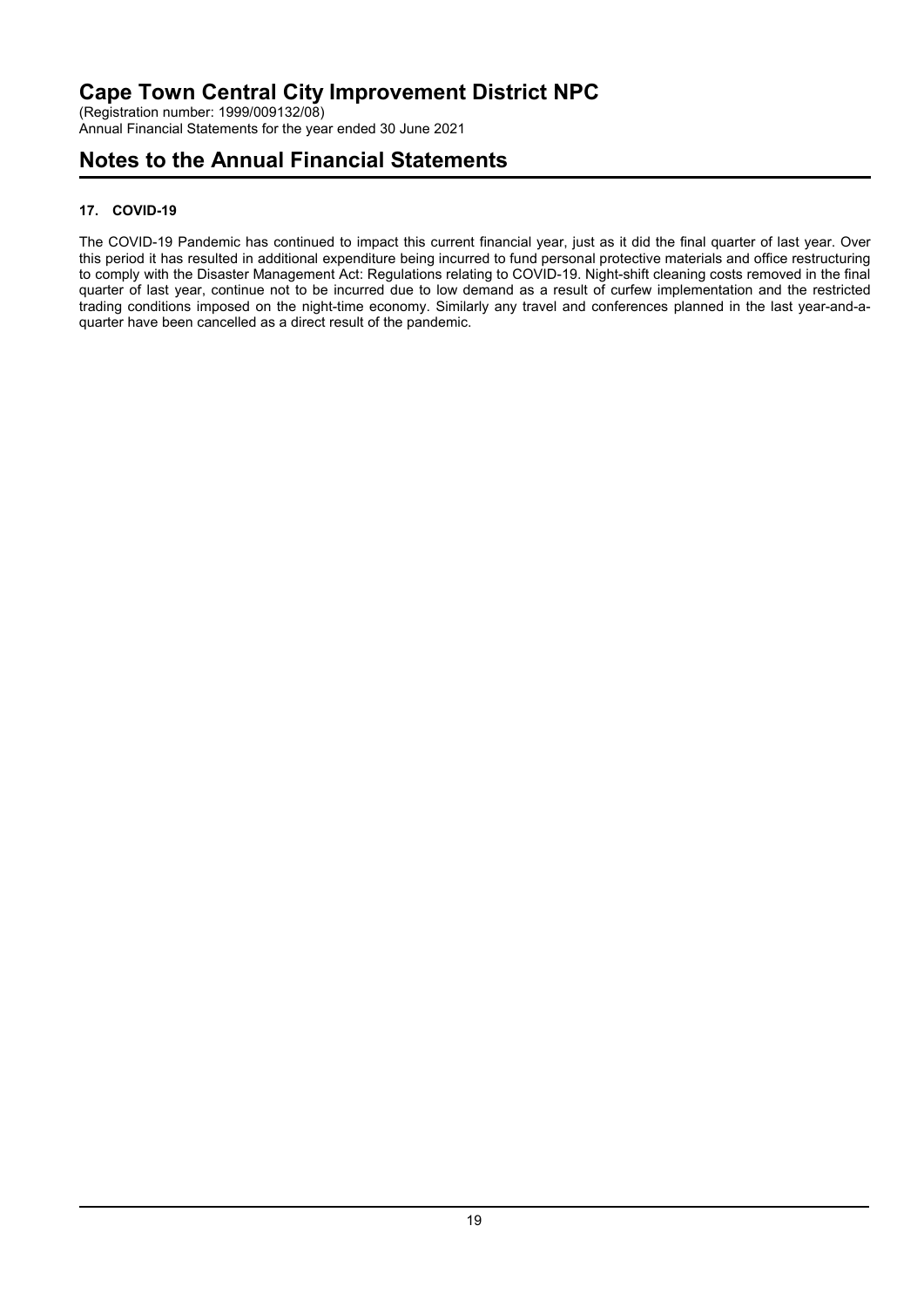(Registration number: 1999/009132/08) Annual Financial Statements for the year ended 30 June 2021

## **Notes to the Annual Financial Statements**

## **17. COVID-19**

The COVID-19 Pandemic has continued to impact this current financial year, just as it did the final quarter of last year. Over this period it has resulted in additional expenditure being incurred to fund personal protective materials and office restructuring to comply with the Disaster Management Act: Regulations relating to COVID-19. Night-shift cleaning costs removed in the final quarter of last year, continue not to be incurred due to low demand as a result of curfew implementation and the restricted trading conditions imposed on the night-time economy. Similarly any travel and conferences planned in the last year-and-aquarter have been cancelled as a direct result of the pandemic.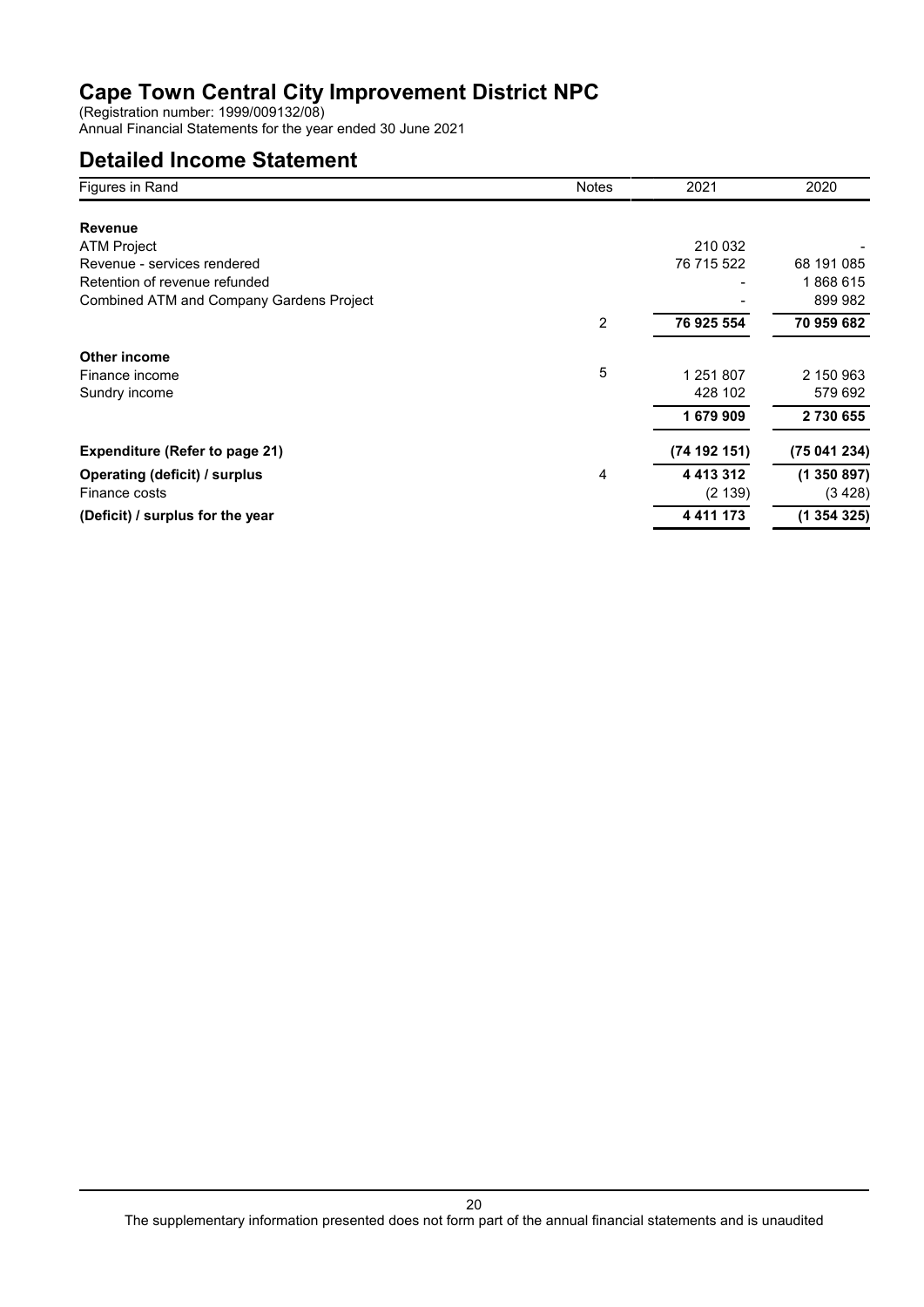(Registration number: 1999/009132/08)

Annual Financial Statements for the year ended 30 June 2021

## **Detailed Income Statement**

| Figures in Rand                          | <b>Notes</b> | 2021          | 2020         |
|------------------------------------------|--------------|---------------|--------------|
|                                          |              |               |              |
| <b>Revenue</b>                           |              |               |              |
| <b>ATM Project</b>                       |              | 210 032       |              |
| Revenue - services rendered              |              | 76 715 522    | 68 191 085   |
| Retention of revenue refunded            |              |               | 1868615      |
| Combined ATM and Company Gardens Project |              |               | 899 982      |
|                                          | 2            | 76 925 554    | 70 959 682   |
| Other income                             |              |               |              |
| Finance income                           | 5            | 1 251 807     | 2 150 963    |
| Sundry income                            |              | 428 102       | 579 692      |
|                                          |              | 1679909       | 2730655      |
| <b>Expenditure (Refer to page 21)</b>    |              | (74192151)    | (75 041 234) |
| Operating (deficit) / surplus            | 4            | 4 4 1 3 3 1 2 | (1350897)    |
| Finance costs                            |              | (2 139)       | (3 4 28)     |
| (Deficit) / surplus for the year         |              | 4 4 1 1 1 7 3 | (1354325)    |